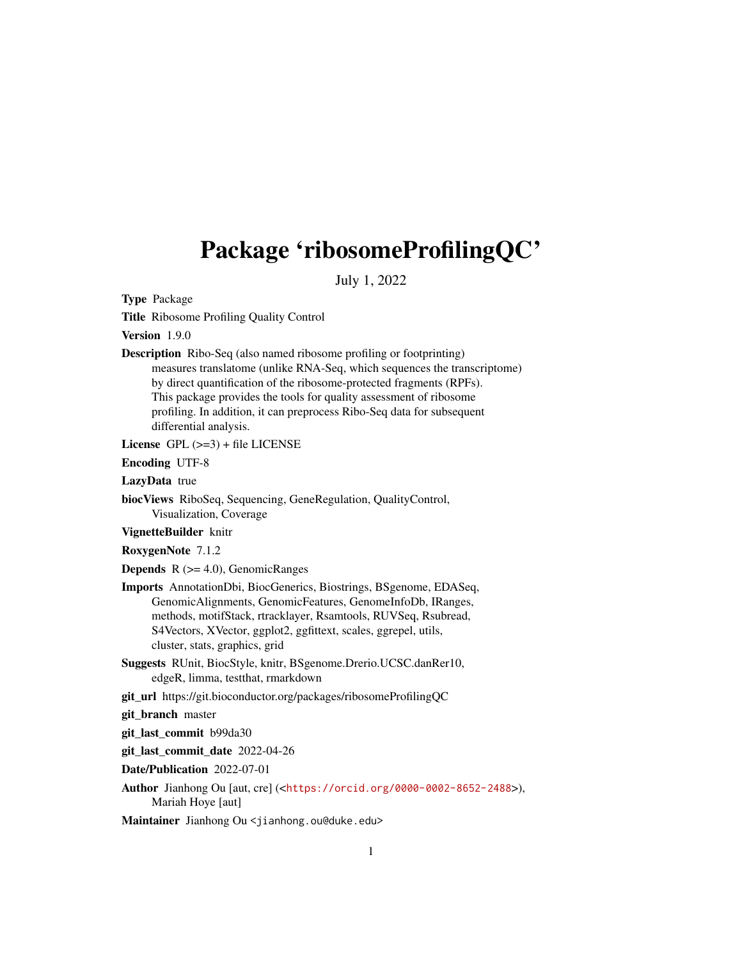# <span id="page-0-0"></span>Package 'ribosomeProfilingQC'

July 1, 2022

Type Package

Title Ribosome Profiling Quality Control

Version 1.9.0

Description Ribo-Seq (also named ribosome profiling or footprinting) measures translatome (unlike RNA-Seq, which sequences the transcriptome) by direct quantification of the ribosome-protected fragments (RPFs). This package provides the tools for quality assessment of ribosome profiling. In addition, it can preprocess Ribo-Seq data for subsequent differential analysis.

License  $GPL$  ( $>=$ 3) + file LICENSE

Encoding UTF-8

LazyData true

biocViews RiboSeq, Sequencing, GeneRegulation, QualityControl, Visualization, Coverage

VignetteBuilder knitr

RoxygenNote 7.1.2

**Depends**  $R$  ( $>= 4.0$ ), GenomicRanges

- Imports AnnotationDbi, BiocGenerics, Biostrings, BSgenome, EDASeq, GenomicAlignments, GenomicFeatures, GenomeInfoDb, IRanges, methods, motifStack, rtracklayer, Rsamtools, RUVSeq, Rsubread, S4Vectors, XVector, ggplot2, ggfittext, scales, ggrepel, utils, cluster, stats, graphics, grid
- Suggests RUnit, BiocStyle, knitr, BSgenome.Drerio.UCSC.danRer10, edgeR, limma, testthat, rmarkdown
- git\_url https://git.bioconductor.org/packages/ribosomeProfilingQC

git\_branch master

git\_last\_commit b99da30

git\_last\_commit\_date 2022-04-26

Date/Publication 2022-07-01

Author Jianhong Ou [aut, cre] (<<https://orcid.org/0000-0002-8652-2488>>), Mariah Hoye [aut]

Maintainer Jianhong Ou <jianhong.ou@duke.edu>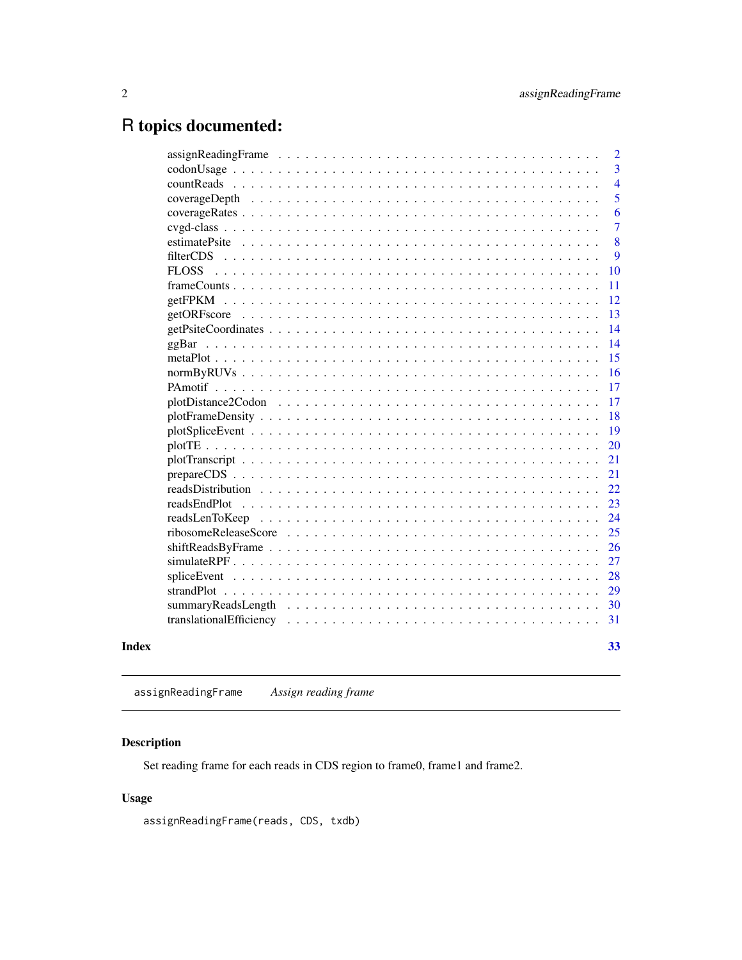## <span id="page-1-0"></span>R topics documented:

|       |                                                                                                               | $\overline{2}$ |
|-------|---------------------------------------------------------------------------------------------------------------|----------------|
|       |                                                                                                               | 3              |
|       | countReads                                                                                                    | $\overline{4}$ |
|       |                                                                                                               | 5              |
|       |                                                                                                               | 6              |
|       |                                                                                                               | $\overline{7}$ |
|       | estimatePsite                                                                                                 | 8              |
|       | filterCDS                                                                                                     | 9              |
|       | <b>FLOSS</b>                                                                                                  | 10             |
|       |                                                                                                               | 11             |
|       |                                                                                                               | 12             |
|       |                                                                                                               | 13             |
|       |                                                                                                               | 14             |
|       |                                                                                                               | 14             |
|       |                                                                                                               | 15             |
|       |                                                                                                               | 16             |
|       |                                                                                                               | 17             |
|       | plotDistance2Codon                                                                                            | 17             |
|       |                                                                                                               | 18             |
|       |                                                                                                               | 19             |
|       |                                                                                                               | 20             |
|       |                                                                                                               | 21             |
|       |                                                                                                               | 21             |
|       |                                                                                                               | 22             |
|       |                                                                                                               | 23             |
|       | readsLenToKeep                                                                                                | 24             |
|       |                                                                                                               | 25             |
|       | $shiftReadsByFrame \dots \dots \dots \dots \dots \dots \dots \dots \dots \dots \dots \dots \dots \dots \dots$ | 26             |
|       |                                                                                                               | 27             |
|       |                                                                                                               | 28             |
|       |                                                                                                               | 29             |
|       |                                                                                                               | 30             |
|       |                                                                                                               | 31             |
|       |                                                                                                               |                |
| Index |                                                                                                               | 33             |
|       |                                                                                                               |                |

<span id="page-1-1"></span>assignReadingFrame *Assign reading frame*

### Description

Set reading frame for each reads in CDS region to frame0, frame1 and frame2.

#### Usage

assignReadingFrame(reads, CDS, txdb)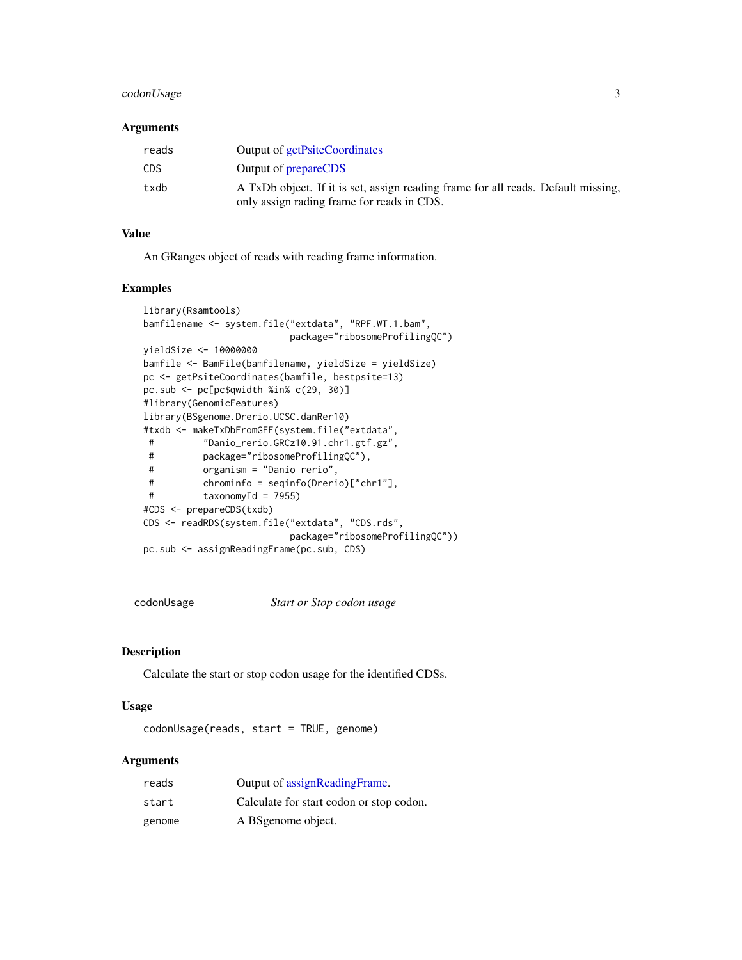#### <span id="page-2-0"></span>codonUsage 3

#### Arguments

| reads      | Output of getPsiteCoordinates                                                                                                   |
|------------|---------------------------------------------------------------------------------------------------------------------------------|
| <b>CDS</b> | Output of <b>prepareCDS</b>                                                                                                     |
| txdb       | A TxDb object. If it is set, assign reading frame for all reads. Default missing,<br>only assign rading frame for reads in CDS. |

#### Value

An GRanges object of reads with reading frame information.

#### Examples

```
library(Rsamtools)
bamfilename <- system.file("extdata", "RPF.WT.1.bam",
                         package="ribosomeProfilingQC")
yieldSize <- 10000000
bamfile <- BamFile(bamfilename, yieldSize = yieldSize)
pc <- getPsiteCoordinates(bamfile, bestpsite=13)
pc.sub <- pc[pc$qwidth %in% c(29, 30)]
#library(GenomicFeatures)
library(BSgenome.Drerio.UCSC.danRer10)
#txdb <- makeTxDbFromGFF(system.file("extdata",
# "Danio_rerio.GRCz10.91.chr1.gtf.gz",
# package="ribosomeProfilingQC"),
# organism = "Danio rerio",
# chrominfo = seqinfo(Drerio)["chr1"],
# taxonomyId = 7955)
#CDS <- prepareCDS(txdb)
CDS <- readRDS(system.file("extdata", "CDS.rds",
                         package="ribosomeProfilingQC"))
pc.sub <- assignReadingFrame(pc.sub, CDS)
```
codonUsage *Start or Stop codon usage*

#### Description

Calculate the start or stop codon usage for the identified CDSs.

#### Usage

codonUsage(reads, start = TRUE, genome)

#### Arguments

| reads  | Output of assignReadingFrame.            |
|--------|------------------------------------------|
| start  | Calculate for start codon or stop codon. |
| genome | A BS genome object.                      |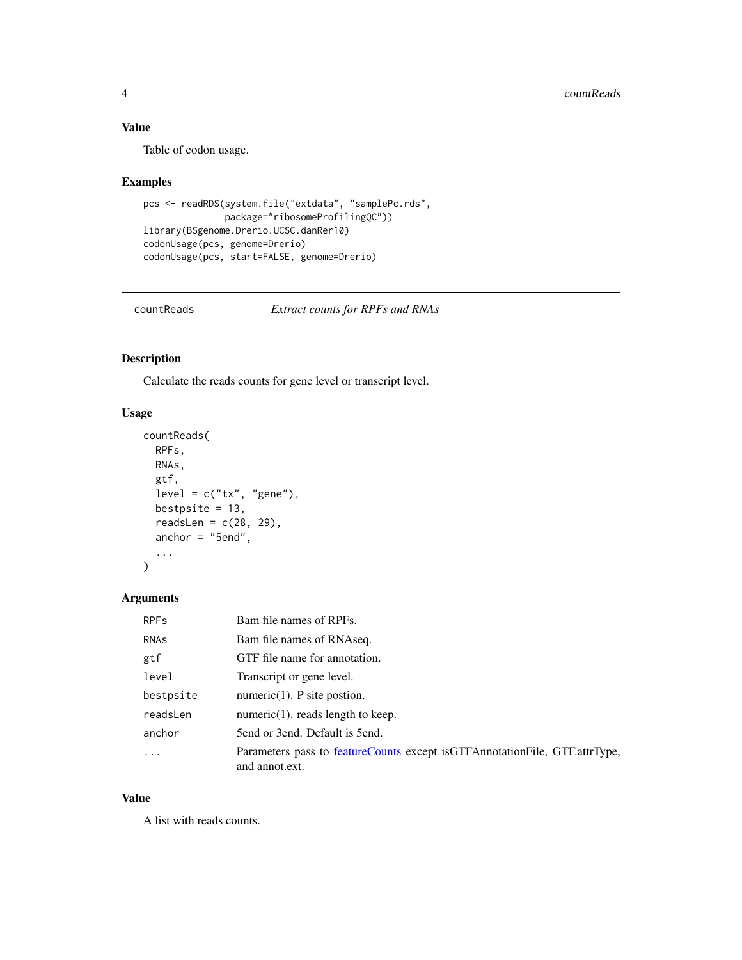#### <span id="page-3-0"></span>Value

Table of codon usage.

#### Examples

```
pcs <- readRDS(system.file("extdata", "samplePc.rds",
              package="ribosomeProfilingQC"))
library(BSgenome.Drerio.UCSC.danRer10)
codonUsage(pcs, genome=Drerio)
codonUsage(pcs, start=FALSE, genome=Drerio)
```
<span id="page-3-1"></span>

countReads *Extract counts for RPFs and RNAs*

#### Description

Calculate the reads counts for gene level or transcript level.

#### Usage

```
countReads(
  RPFs,
  RNAs,
  gtf,
  level = c("tx", "gene"),bestpsite = 13,
  readsLen = c(28, 29),
  anchor = "5end",
  ...
\mathcal{L}
```
#### Arguments

| <b>RPF<sub>s</sub></b> | Bam file names of RPFs.                                                                          |
|------------------------|--------------------------------------------------------------------------------------------------|
| <b>RNAS</b>            | Bam file names of RNAseq.                                                                        |
| gtf                    | GTF file name for annotation.                                                                    |
| level                  | Transcript or gene level.                                                                        |
| bestpsite              | numeric $(1)$ . P site postion.                                                                  |
| readsLen               | $numeric(1)$ . reads length to keep.                                                             |
| anchor                 | 5 fend or 3 end. Default is 5 end.                                                               |
| .                      | Parameters pass to feature Counts except is GTF Annotation File, GTF attrType,<br>and annot ext. |

#### Value

A list with reads counts.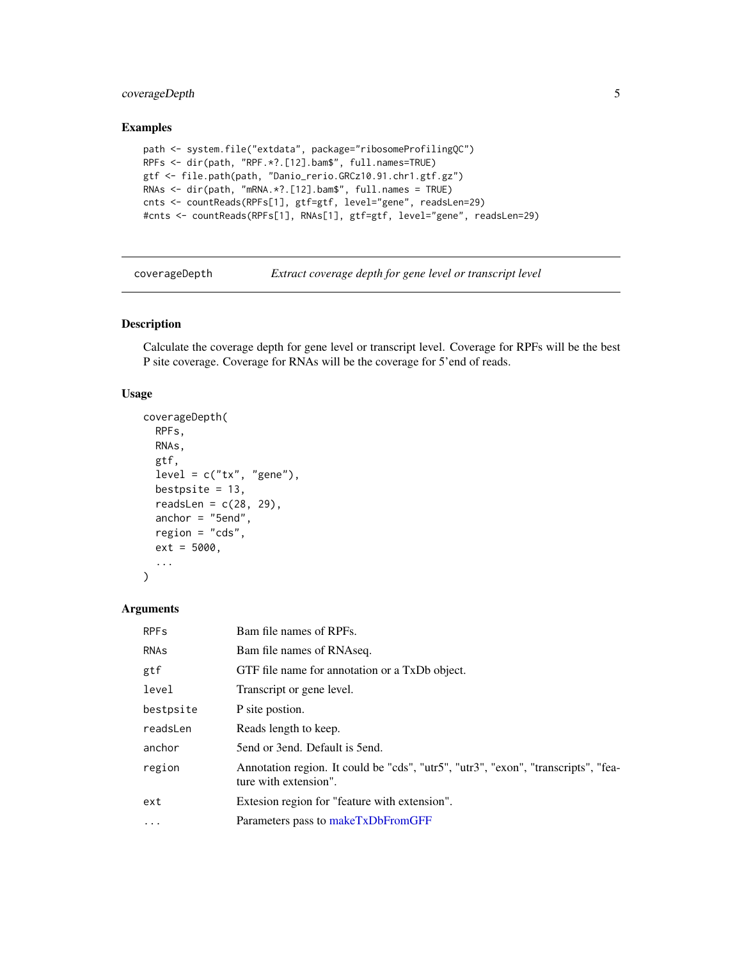#### <span id="page-4-0"></span>coverageDepth 5

#### Examples

```
path <- system.file("extdata", package="ribosomeProfilingQC")
RPFs <- dir(path, "RPF.*?.[12].bam$", full.names=TRUE)
gtf <- file.path(path, "Danio_rerio.GRCz10.91.chr1.gtf.gz")
RNAs <- dir(path, "mRNA.*?.[12].bam$", full.names = TRUE)
cnts <- countReads(RPFs[1], gtf=gtf, level="gene", readsLen=29)
#cnts <- countReads(RPFs[1], RNAs[1], gtf=gtf, level="gene", readsLen=29)
```
<span id="page-4-1"></span>coverageDepth *Extract coverage depth for gene level or transcript level*

#### Description

Calculate the coverage depth for gene level or transcript level. Coverage for RPFs will be the best P site coverage. Coverage for RNAs will be the coverage for 5'end of reads.

#### Usage

```
coverageDepth(
 RPFs,
 RNAs,
  gtf,
  level = c("tx", "gene"),bestpsite = 13,
  readsLen = c(28, 29),
  anchor = "5end",
  region = "cds",
  ext = 5000,...
)
```
#### Arguments

| <b>RPF<sub>s</sub></b> | Bam file names of RPFs.                                                                                     |
|------------------------|-------------------------------------------------------------------------------------------------------------|
| RNAS                   | Bam file names of RNAseq.                                                                                   |
| gtf                    | GTF file name for annotation or a TxDb object.                                                              |
| level                  | Transcript or gene level.                                                                                   |
| bestpsite              | P site postion.                                                                                             |
| readsLen               | Reads length to keep.                                                                                       |
| anchor                 | 5 fend or 3 end. Default is 5 end.                                                                          |
| region                 | Annotation region. It could be "cds", "utr5", "utr3", "exon", "transcripts", "fea-<br>ture with extension". |
| ext                    | Extesion region for "feature with extension".                                                               |
| $\cdots$               | Parameters pass to makeTxDbFromGFF                                                                          |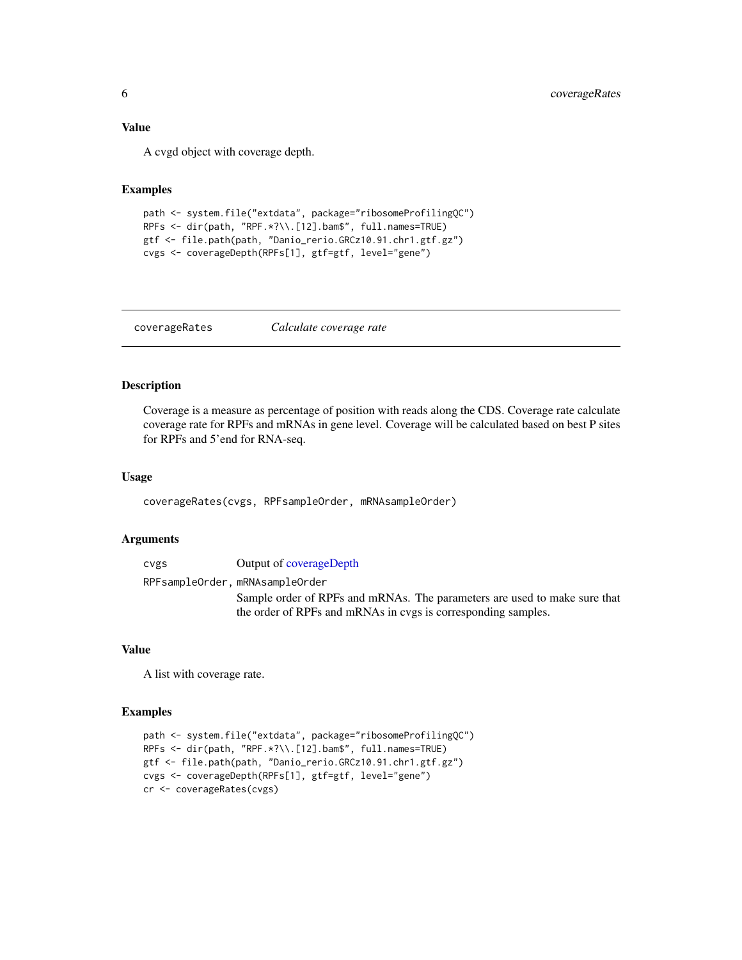#### <span id="page-5-0"></span>Value

A cvgd object with coverage depth.

#### Examples

```
path <- system.file("extdata", package="ribosomeProfilingQC")
RPFs <- dir(path, "RPF.*?\\.[12].bam$", full.names=TRUE)
gtf <- file.path(path, "Danio_rerio.GRCz10.91.chr1.gtf.gz")
cvgs <- coverageDepth(RPFs[1], gtf=gtf, level="gene")
```
coverageRates *Calculate coverage rate*

#### Description

Coverage is a measure as percentage of position with reads along the CDS. Coverage rate calculate coverage rate for RPFs and mRNAs in gene level. Coverage will be calculated based on best P sites for RPFs and 5'end for RNA-seq.

#### Usage

```
coverageRates(cvgs, RPFsampleOrder, mRNAsampleOrder)
```
#### Arguments

| <b>CVES</b> | Output of coverageDepth                                                   |
|-------------|---------------------------------------------------------------------------|
|             | RPFsampleOrder, mRNAsampleOrder                                           |
|             | Sample order of RPFs and mRNAs. The parameters are used to make sure that |
|             | the order of RPFs and mRNAs in cvgs is corresponding samples.             |

#### Value

A list with coverage rate.

```
path <- system.file("extdata", package="ribosomeProfilingQC")
RPFs <- dir(path, "RPF.*?\\.[12].bam$", full.names=TRUE)
gtf <- file.path(path, "Danio_rerio.GRCz10.91.chr1.gtf.gz")
cvgs <- coverageDepth(RPFs[1], gtf=gtf, level="gene")
cr <- coverageRates(cvgs)
```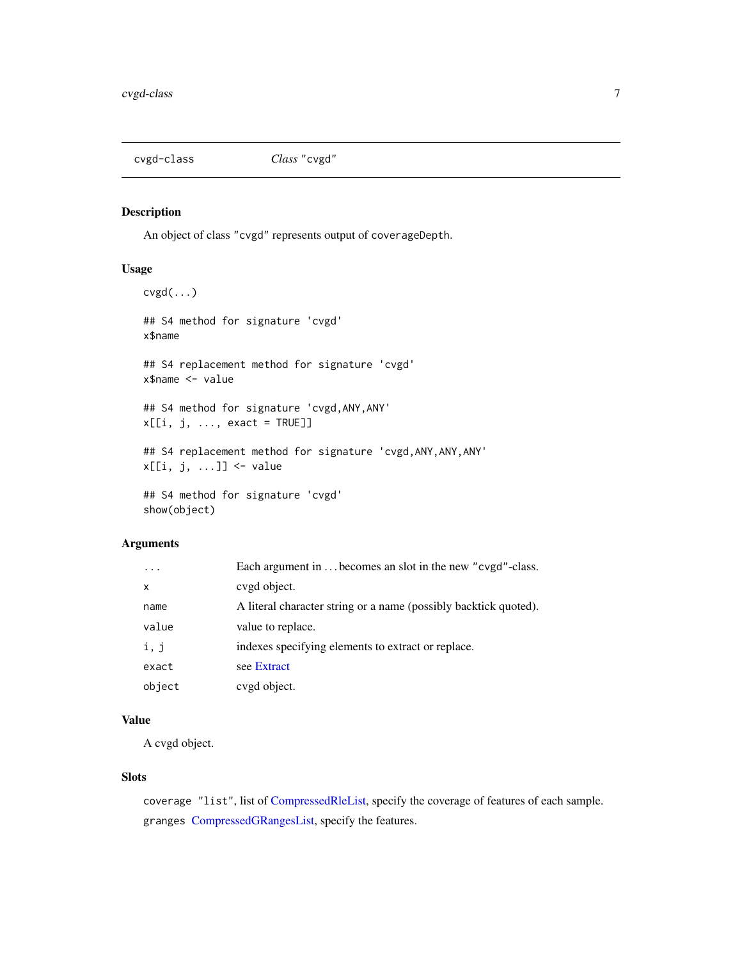<span id="page-6-0"></span>

An object of class "cvgd" represents output of coverageDepth.

#### Usage

```
cvgd(...)
## S4 method for signature 'cvgd'
x$name
## S4 replacement method for signature 'cvgd'
x$name <- value
## S4 method for signature 'cvgd,ANY,ANY'
x[[i, j, ..., exact = TRUE]]## S4 replacement method for signature 'cvgd,ANY,ANY,ANY'
x[[i, j, ...]] <- value
## S4 method for signature 'cvgd'
show(object)
```
#### Arguments

|              | Each argument in  becomes an slot in the new "cvgd"-class.       |
|--------------|------------------------------------------------------------------|
| $\mathsf{x}$ | cvgd object.                                                     |
| name         | A literal character string or a name (possibly backtick quoted). |
| value        | value to replace.                                                |
| i, j         | indexes specifying elements to extract or replace.               |
| exact        | see Extract                                                      |
| object       | cvgd object.                                                     |

#### Value

A cvgd object.

#### Slots

coverage "list", list of [CompressedRleList,](#page-0-0) specify the coverage of features of each sample. granges [CompressedGRangesList,](#page-0-0) specify the features.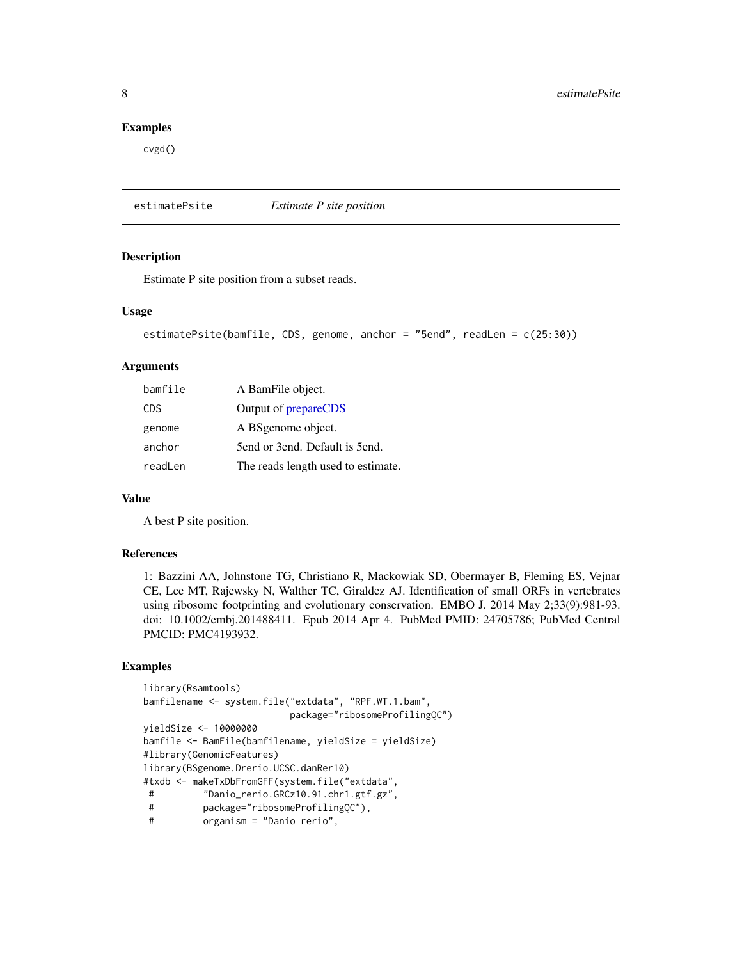#### <span id="page-7-0"></span>Examples

cvgd()

<span id="page-7-1"></span>estimatePsite *Estimate P site position*

#### Description

Estimate P site position from a subset reads.

#### Usage

```
estimatePsite(bamfile, CDS, genome, anchor = "5end", readLen = c(25:30))
```
#### Arguments

| bamfile    | A BamFile object.                  |
|------------|------------------------------------|
| <b>CDS</b> | Output of prepareCDS               |
| genome     | A BSgenome object.                 |
| anchor     | 5 fend or 3 end. Default is 5 end. |
| readLen    | The reads length used to estimate. |

#### Value

A best P site position.

#### References

1: Bazzini AA, Johnstone TG, Christiano R, Mackowiak SD, Obermayer B, Fleming ES, Vejnar CE, Lee MT, Rajewsky N, Walther TC, Giraldez AJ. Identification of small ORFs in vertebrates using ribosome footprinting and evolutionary conservation. EMBO J. 2014 May 2;33(9):981-93. doi: 10.1002/embj.201488411. Epub 2014 Apr 4. PubMed PMID: 24705786; PubMed Central PMCID: PMC4193932.

```
library(Rsamtools)
bamfilename <- system.file("extdata", "RPF.WT.1.bam",
                          package="ribosomeProfilingQC")
yieldSize <- 10000000
bamfile <- BamFile(bamfilename, yieldSize = yieldSize)
#library(GenomicFeatures)
library(BSgenome.Drerio.UCSC.danRer10)
#txdb <- makeTxDbFromGFF(system.file("extdata",
# "Danio_rerio.GRCz10.91.chr1.gtf.gz",
# package="ribosomeProfilingQC"),
          organism = "Danio rerio",
```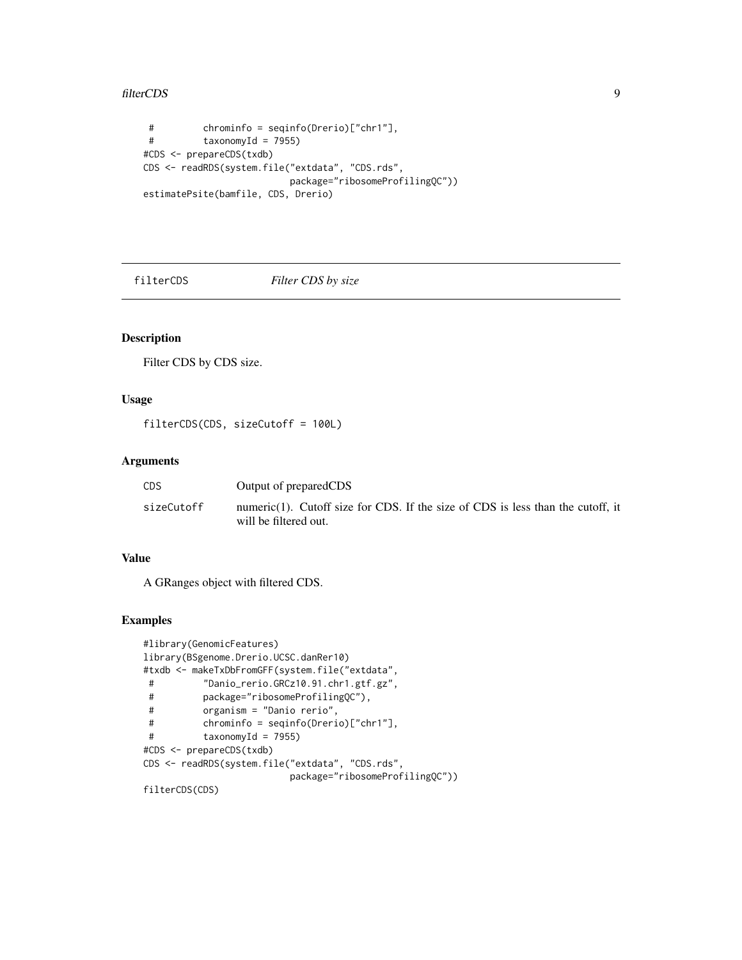#### <span id="page-8-0"></span>filterCDS 9

```
# chrominfo = seqinfo(Drerio)["chr1"],
# taxonomyId = 7955)
#CDS <- prepareCDS(txdb)
CDS <- readRDS(system.file("extdata", "CDS.rds",
                         package="ribosomeProfilingQC"))
estimatePsite(bamfile, CDS, Drerio)
```
filterCDS *Filter CDS by size*

#### Description

Filter CDS by CDS size.

#### Usage

filterCDS(CDS, sizeCutoff = 100L)

#### Arguments

| CDS        | Output of preparedCDS                                                                                    |
|------------|----------------------------------------------------------------------------------------------------------|
| sizeCutoff | numeric(1). Cutoff size for CDS. If the size of CDS is less than the cutoff, it<br>will be filtered out. |

#### Value

A GRanges object with filtered CDS.

#### Examples

```
#library(GenomicFeatures)
library(BSgenome.Drerio.UCSC.danRer10)
#txdb <- makeTxDbFromGFF(system.file("extdata",
# "Danio_rerio.GRCz10.91.chr1.gtf.gz",
# package="ribosomeProfilingQC"),
# organism = "Danio rerio",
# chrominfo = seqinfo(Drerio)["chr1"],
# taxonomyId = 7955)
#CDS <- prepareCDS(txdb)
CDS <- readRDS(system.file("extdata", "CDS.rds",
                        package="ribosomeProfilingQC"))
```
filterCDS(CDS)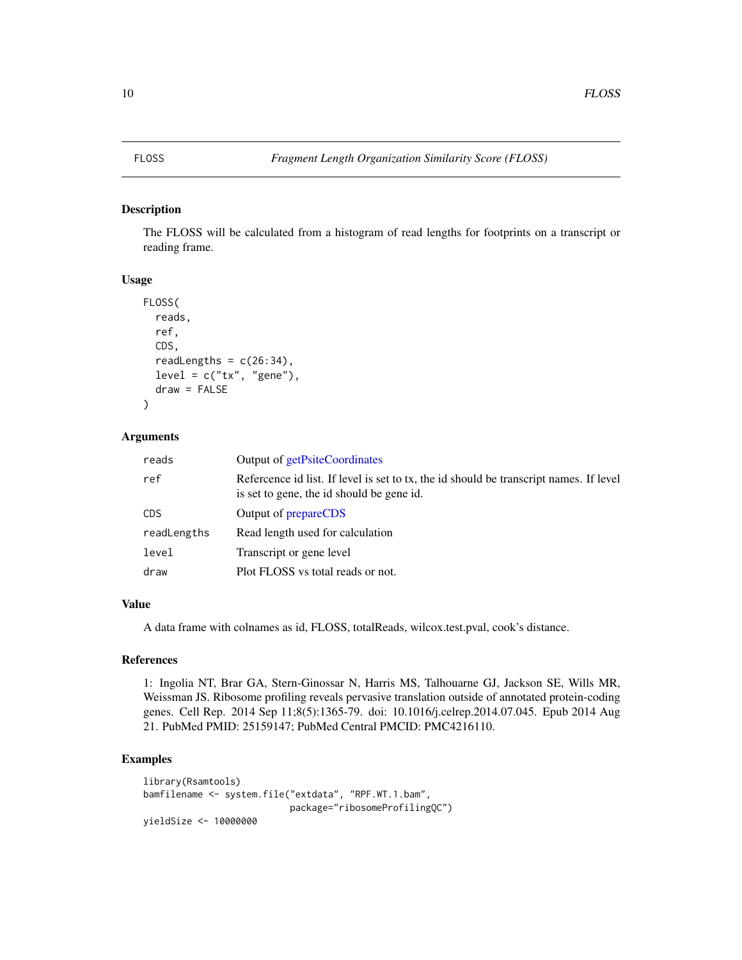<span id="page-9-0"></span>The FLOSS will be calculated from a histogram of read lengths for footprints on a transcript or reading frame.

#### Usage

```
FLOSS(
  reads,
  ref,
  CDS,
  readLengths = c(26:34),
  level = c("tx", "gene"),draw = FALSE
)
```
#### Arguments

| reads       | Output of getPsiteCoordinates                                                                                                      |
|-------------|------------------------------------------------------------------------------------------------------------------------------------|
| ref         | Reference id list. If level is set to tx, the id should be transcript names. If level<br>is set to gene, the id should be gene id. |
| <b>CDS</b>  | Output of <b>prepareCDS</b>                                                                                                        |
| readLengths | Read length used for calculation                                                                                                   |
| level       | Transcript or gene level                                                                                                           |
| draw        | Plot FLOSS vs total reads or not.                                                                                                  |

#### Value

A data frame with colnames as id, FLOSS, totalReads, wilcox.test.pval, cook's distance.

#### References

1: Ingolia NT, Brar GA, Stern-Ginossar N, Harris MS, Talhouarne GJ, Jackson SE, Wills MR, Weissman JS. Ribosome profiling reveals pervasive translation outside of annotated protein-coding genes. Cell Rep. 2014 Sep 11;8(5):1365-79. doi: 10.1016/j.celrep.2014.07.045. Epub 2014 Aug 21. PubMed PMID: 25159147; PubMed Central PMCID: PMC4216110.

```
library(Rsamtools)
bamfilename <- system.file("extdata", "RPF.WT.1.bam",
                           package="ribosomeProfilingQC")
yieldSize <- 10000000
```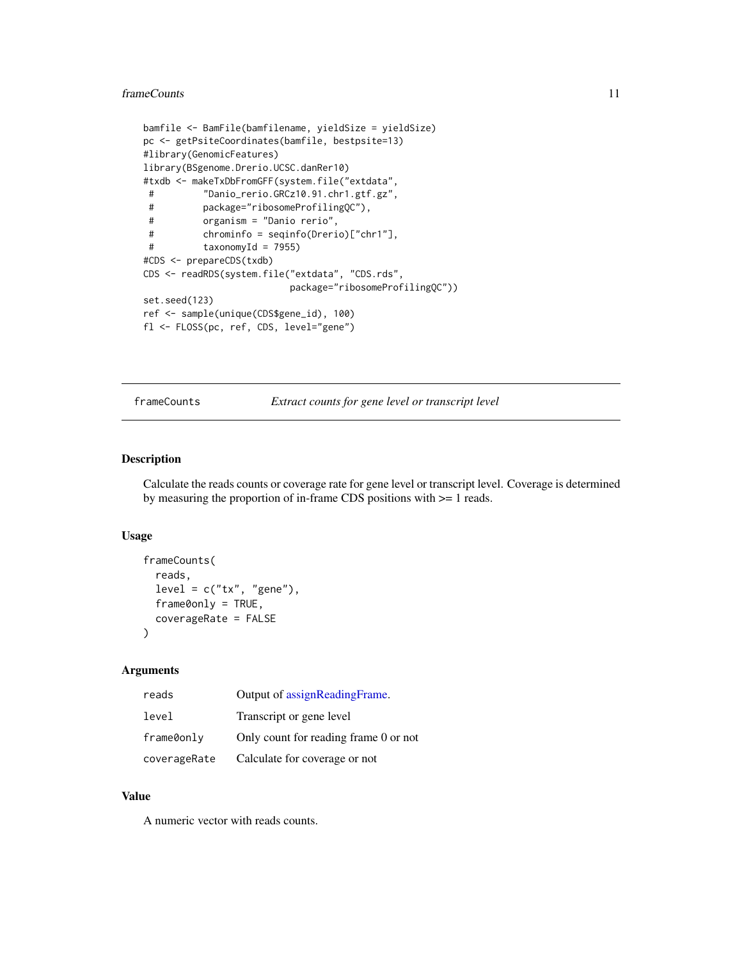#### <span id="page-10-0"></span>frameCounts 11

```
bamfile <- BamFile(bamfilename, yieldSize = yieldSize)
pc <- getPsiteCoordinates(bamfile, bestpsite=13)
#library(GenomicFeatures)
library(BSgenome.Drerio.UCSC.danRer10)
#txdb <- makeTxDbFromGFF(system.file("extdata",
# "Danio_rerio.GRCz10.91.chr1.gtf.gz",
# package="ribosomeProfilingQC"),
# organism = "Danio rerio",
# chrominfo = seqinfo(Drerio)["chr1"],
# taxonomyId = 7955)
#CDS <- prepareCDS(txdb)
CDS <- readRDS(system.file("extdata", "CDS.rds",
                         package="ribosomeProfilingQC"))
set.seed(123)
ref <- sample(unique(CDS$gene_id), 100)
fl <- FLOSS(pc, ref, CDS, level="gene")
```
frameCounts *Extract counts for gene level or transcript level*

#### Description

Calculate the reads counts or coverage rate for gene level or transcript level. Coverage is determined by measuring the proportion of in-frame CDS positions with >= 1 reads.

#### Usage

```
frameCounts(
  reads,
  level = c("tx", "gene"),frame0 only = TRUE,coverageRate = FALSE
\mathcal{L}
```
#### Arguments

| reads        | Output of assignReadingFrame.         |
|--------------|---------------------------------------|
| level        | Transcript or gene level              |
| frame0only   | Only count for reading frame 0 or not |
| coverageRate | Calculate for coverage or not         |

#### Value

A numeric vector with reads counts.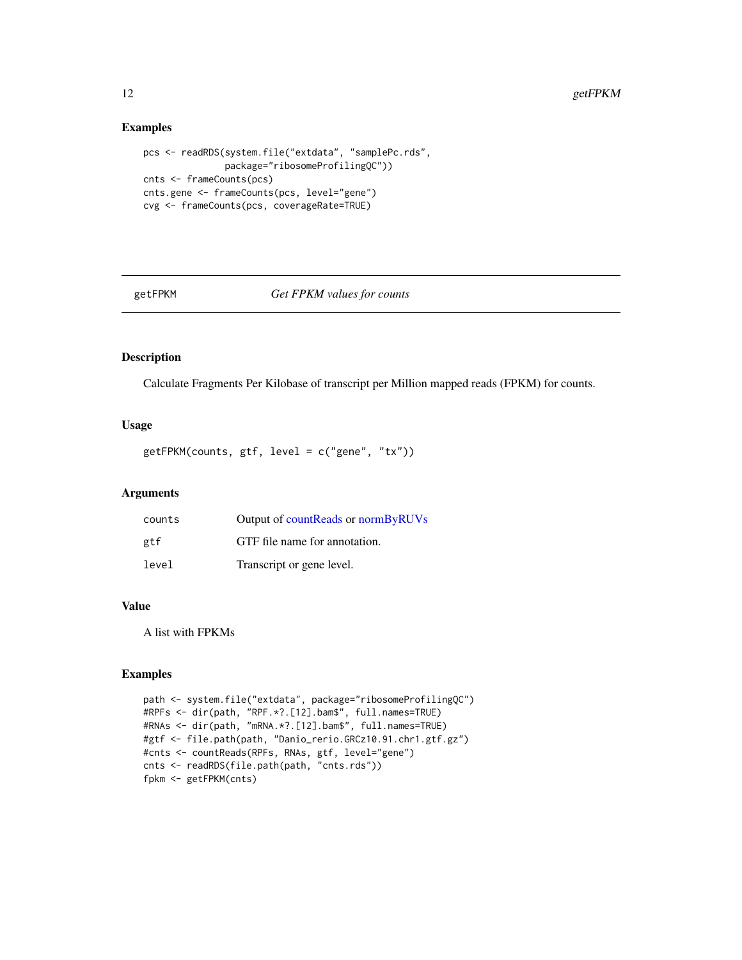#### Examples

```
pcs <- readRDS(system.file("extdata", "samplePc.rds",
               package="ribosomeProfilingQC"))
cnts <- frameCounts(pcs)
cnts.gene <- frameCounts(pcs, level="gene")
cvg <- frameCounts(pcs, coverageRate=TRUE)
```
<span id="page-11-1"></span>getFPKM *Get FPKM values for counts*

#### Description

Calculate Fragments Per Kilobase of transcript per Million mapped reads (FPKM) for counts.

#### Usage

```
getFPKM(counts, gtf, level = c("gene", "tx"))
```
#### Arguments

| counts | Output of countReads or normByRUVs |
|--------|------------------------------------|
| gtf    | GTF file name for annotation.      |
| level  | Transcript or gene level.          |

#### Value

A list with FPKMs

```
path <- system.file("extdata", package="ribosomeProfilingQC")
#RPFs <- dir(path, "RPF.*?.[12].bam$", full.names=TRUE)
#RNAs <- dir(path, "mRNA.*?.[12].bam$", full.names=TRUE)
#gtf <- file.path(path, "Danio_rerio.GRCz10.91.chr1.gtf.gz")
#cnts <- countReads(RPFs, RNAs, gtf, level="gene")
cnts <- readRDS(file.path(path, "cnts.rds"))
fpkm <- getFPKM(cnts)
```
<span id="page-11-0"></span>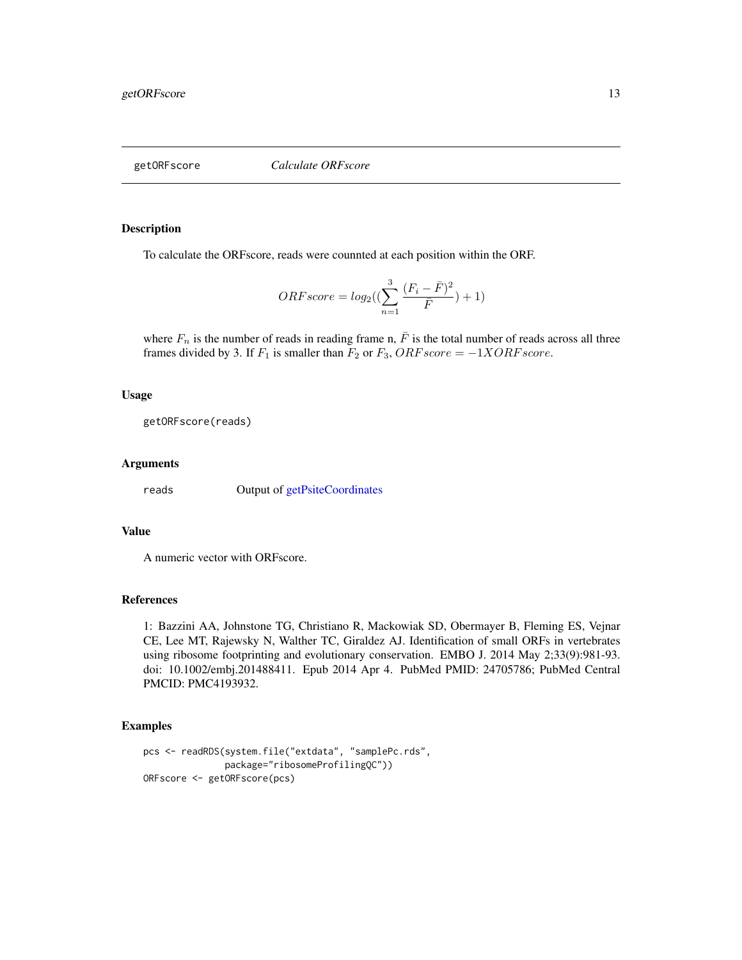<span id="page-12-0"></span>getORFscore *Calculate ORFscore*

#### Description

To calculate the ORFscore, reads were counnted at each position within the ORF.

$$
ORFscore = log_2((\sum_{n=1}^{3} \frac{(F_i - \bar{F})^2}{\bar{F}}) + 1)
$$

where  $F_n$  is the number of reads in reading frame n,  $\bar{F}$  is the total number of reads across all three frames divided by 3. If  $F_1$  is smaller than  $F_2$  or  $F_3$ ,  $ORF score = -1XORF score$ .

#### Usage

getORFscore(reads)

#### Arguments

reads Output of [getPsiteCoordinates](#page-13-1)

#### Value

A numeric vector with ORFscore.

#### References

1: Bazzini AA, Johnstone TG, Christiano R, Mackowiak SD, Obermayer B, Fleming ES, Vejnar CE, Lee MT, Rajewsky N, Walther TC, Giraldez AJ. Identification of small ORFs in vertebrates using ribosome footprinting and evolutionary conservation. EMBO J. 2014 May 2;33(9):981-93. doi: 10.1002/embj.201488411. Epub 2014 Apr 4. PubMed PMID: 24705786; PubMed Central PMCID: PMC4193932.

```
pcs <- readRDS(system.file("extdata", "samplePc.rds",
               package="ribosomeProfilingQC"))
ORFscore <- getORFscore(pcs)
```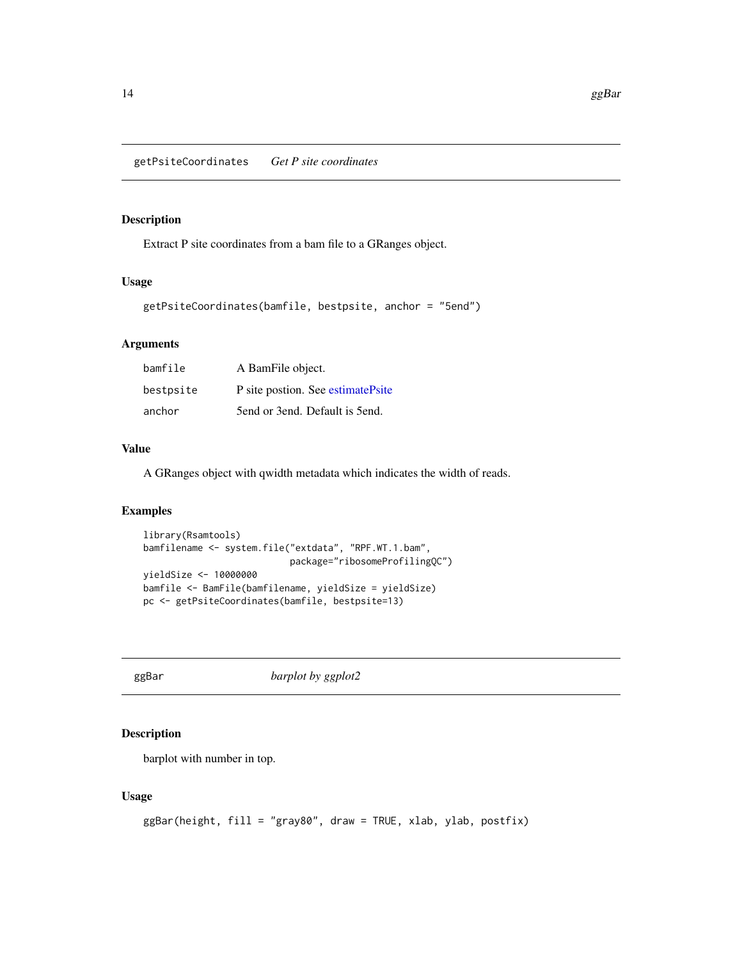<span id="page-13-1"></span><span id="page-13-0"></span>Extract P site coordinates from a bam file to a GRanges object.

#### Usage

```
getPsiteCoordinates(bamfile, bestpsite, anchor = "5end")
```
#### Arguments

| bamfile   | A BamFile object.                  |
|-----------|------------------------------------|
| bestpsite | P site postion. See estimatePsite  |
| anchor    | 5 fend or 3 end. Default is 5 end. |

#### Value

A GRanges object with qwidth metadata which indicates the width of reads.

#### Examples

```
library(Rsamtools)
bamfilename <- system.file("extdata", "RPF.WT.1.bam",
                          package="ribosomeProfilingQC")
yieldSize <- 10000000
bamfile <- BamFile(bamfilename, yieldSize = yieldSize)
pc <- getPsiteCoordinates(bamfile, bestpsite=13)
```
ggBar *barplot by ggplot2*

#### Description

barplot with number in top.

#### Usage

```
ggBar(height, fill = "gray80", draw = TRUE, xlab, ylab, postfix)
```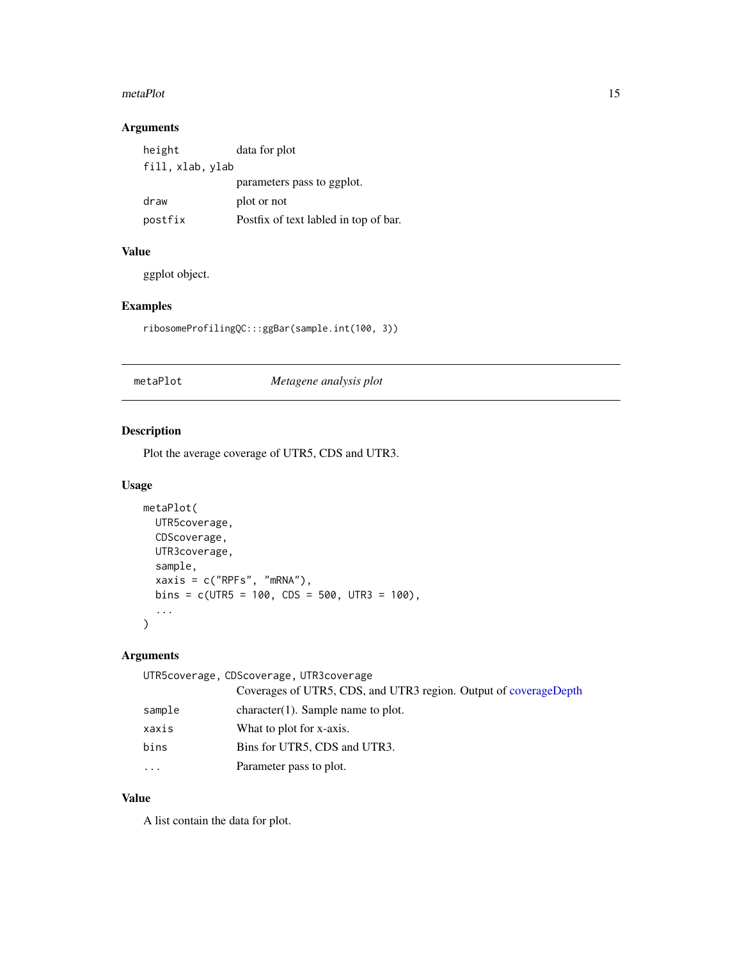#### <span id="page-14-0"></span>metaPlot 15

### Arguments

| height           | data for plot                         |
|------------------|---------------------------------------|
| fill, xlab, ylab |                                       |
|                  | parameters pass to ggplot.            |
| draw             | plot or not                           |
| postfix          | Postfix of text labled in top of bar. |

#### Value

ggplot object.

#### Examples

ribosomeProfilingQC:::ggBar(sample.int(100, 3))

#### metaPlot *Metagene analysis plot*

### Description

Plot the average coverage of UTR5, CDS and UTR3.

#### Usage

```
metaPlot(
 UTR5coverage,
 CDScoverage,
 UTR3coverage,
  sample,
 xaxis = c("RPFs", "mRNA"),
 bins = c(UTR5 = 100, CDS = 500, UTR3 = 100),
  ...
)
```
#### Arguments

|           | UTR5coverage, CDScoverage, UTR3coverage                          |
|-----------|------------------------------------------------------------------|
|           | Coverages of UTR5, CDS, and UTR3 region. Output of coverageDepth |
| sample    | $character(1)$ . Sample name to plot.                            |
| xaxis     | What to plot for x-axis.                                         |
| bins      | Bins for UTR5, CDS and UTR3.                                     |
| $\ddotsc$ | Parameter pass to plot.                                          |

#### Value

A list contain the data for plot.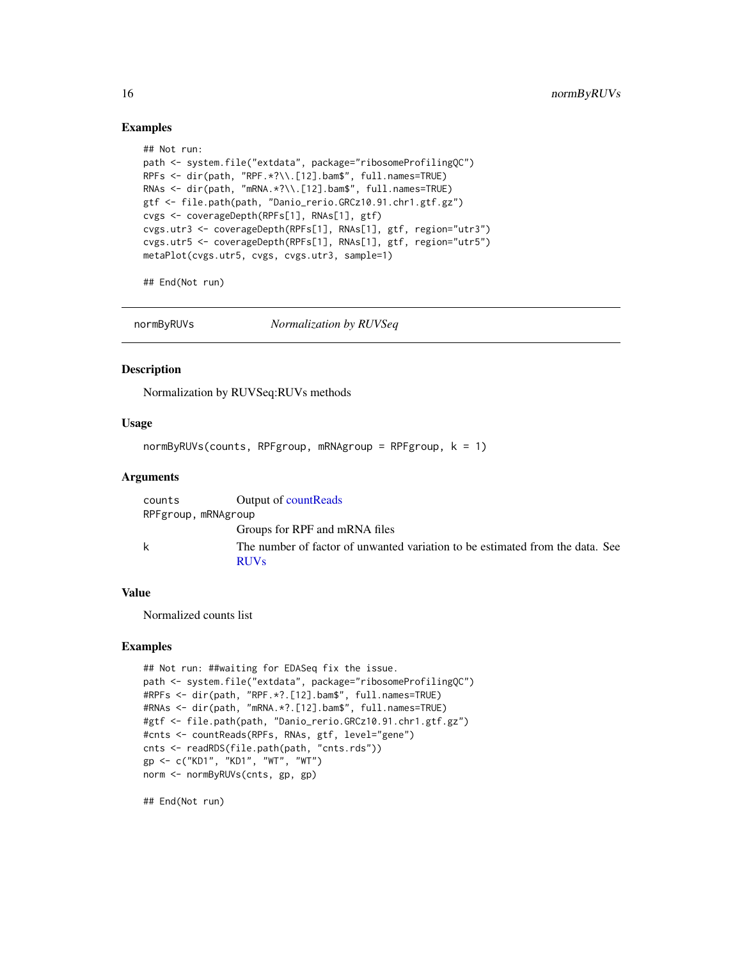#### Examples

```
## Not run:
path <- system.file("extdata", package="ribosomeProfilingQC")
RPFs <- dir(path, "RPF.*?\\.[12].bam$", full.names=TRUE)
RNAs <- dir(path, "mRNA.*?\\.[12].bam$", full.names=TRUE)
gtf <- file.path(path, "Danio_rerio.GRCz10.91.chr1.gtf.gz")
cvgs <- coverageDepth(RPFs[1], RNAs[1], gtf)
cvgs.utr3 <- coverageDepth(RPFs[1], RNAs[1], gtf, region="utr3")
cvgs.utr5 <- coverageDepth(RPFs[1], RNAs[1], gtf, region="utr5")
metaPlot(cvgs.utr5, cvgs, cvgs.utr3, sample=1)
```
## End(Not run)

<span id="page-15-1"></span>normByRUVs *Normalization by RUVSeq*

#### Description

Normalization by RUVSeq:RUVs methods

#### Usage

 $normByRUVs(counts, RPFgroup, mRNAgroup = RPFgroup, k = 1)$ 

#### Arguments

| counts              | Output of countReads                                                                         |
|---------------------|----------------------------------------------------------------------------------------------|
| RPFgroup, mRNAgroup |                                                                                              |
|                     | Groups for RPF and mRNA files                                                                |
| k                   | The number of factor of unwanted variation to be estimated from the data. See<br><b>RUVs</b> |

#### Value

Normalized counts list

#### Examples

```
## Not run: ##waiting for EDASeq fix the issue.
path <- system.file("extdata", package="ribosomeProfilingQC")
#RPFs <- dir(path, "RPF.*?.[12].bam$", full.names=TRUE)
#RNAs <- dir(path, "mRNA.*?.[12].bam$", full.names=TRUE)
#gtf <- file.path(path, "Danio_rerio.GRCz10.91.chr1.gtf.gz")
#cnts <- countReads(RPFs, RNAs, gtf, level="gene")
cnts <- readRDS(file.path(path, "cnts.rds"))
gp <- c("KD1", "KD1", "WT", "WT")
norm <- normByRUVs(cnts, gp, gp)
```
## End(Not run)

<span id="page-15-0"></span>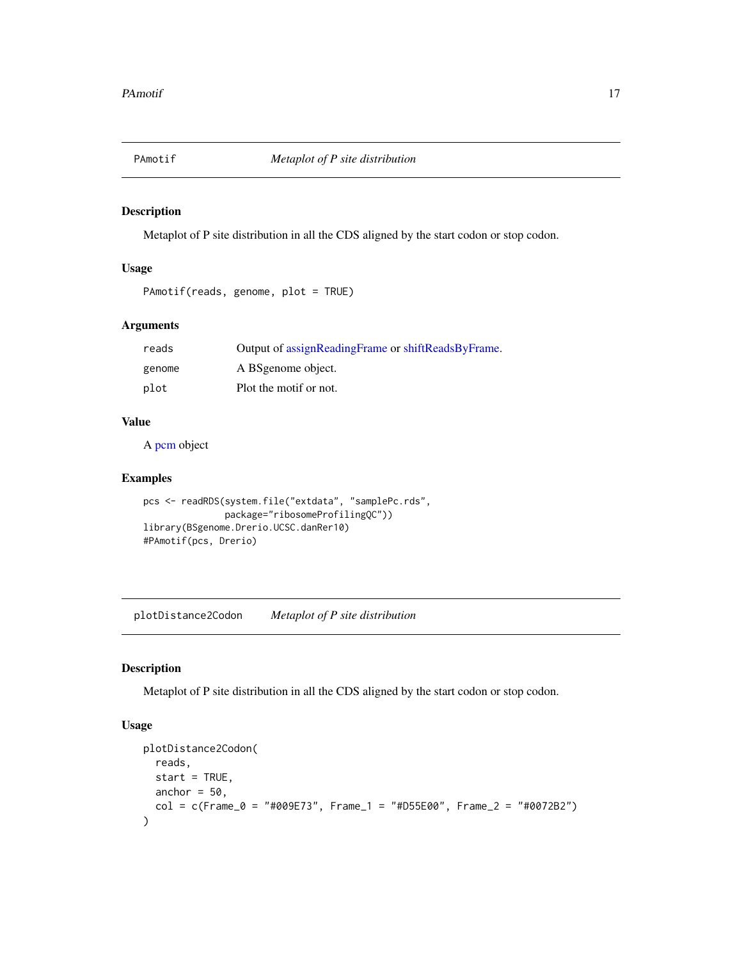<span id="page-16-0"></span>

Metaplot of P site distribution in all the CDS aligned by the start codon or stop codon.

#### Usage

```
PAmotif(reads, genome, plot = TRUE)
```
#### Arguments

| reads  | Output of assignReadingFrame or shiftReadsByFrame. |
|--------|----------------------------------------------------|
| genome | A BSgenome object.                                 |
| plot   | Plot the motif or not.                             |

#### Value

A [pcm](#page-0-0) object

#### Examples

```
pcs <- readRDS(system.file("extdata", "samplePc.rds",
               package="ribosomeProfilingQC"))
library(BSgenome.Drerio.UCSC.danRer10)
#PAmotif(pcs, Drerio)
```
plotDistance2Codon *Metaplot of P site distribution*

#### Description

Metaplot of P site distribution in all the CDS aligned by the start codon or stop codon.

#### Usage

```
plotDistance2Codon(
 reads,
  start = TRUE,
 anchor = 50,
  col = c(Fname_0 = "#009E73", Frame_1 = "#D55E00", Frame_2 = "#0072B2")\mathcal{E}
```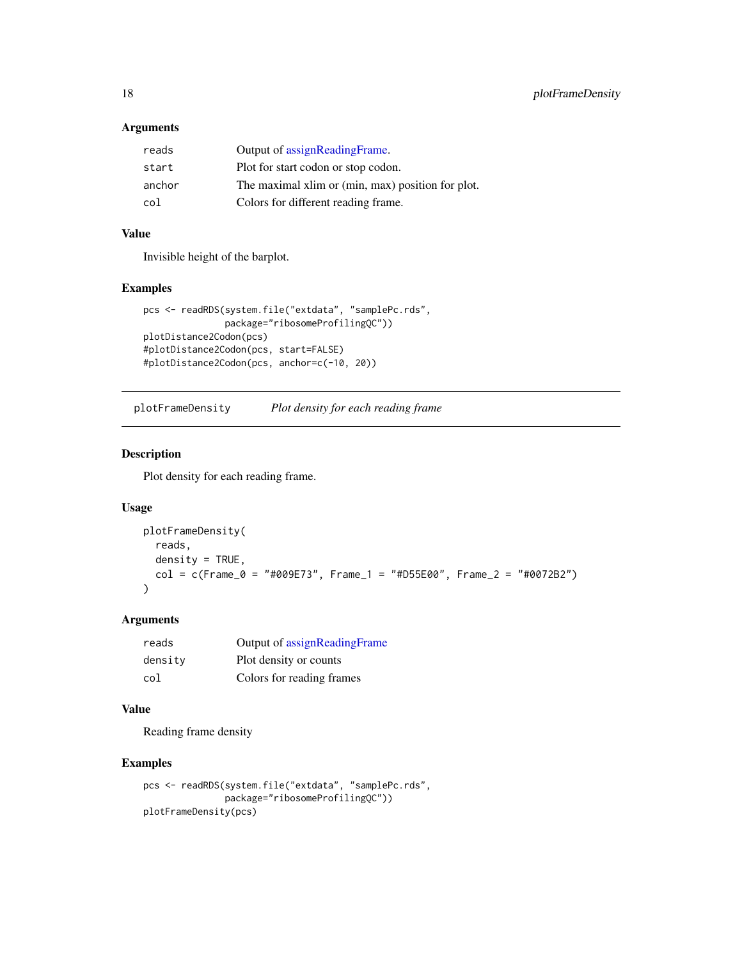#### <span id="page-17-0"></span>Arguments

| reads  | Output of assignReadingFrame.                     |
|--------|---------------------------------------------------|
| start  | Plot for start codon or stop codon.               |
| anchor | The maximal xlim or (min, max) position for plot. |
| col    | Colors for different reading frame.               |

#### Value

Invisible height of the barplot.

#### Examples

```
pcs <- readRDS(system.file("extdata", "samplePc.rds",
              package="ribosomeProfilingQC"))
plotDistance2Codon(pcs)
#plotDistance2Codon(pcs, start=FALSE)
#plotDistance2Codon(pcs, anchor=c(-10, 20))
```
plotFrameDensity *Plot density for each reading frame*

#### Description

Plot density for each reading frame.

#### Usage

```
plotFrameDensity(
 reads,
  density = TRUE,
 col = c(Fname_0 = "#009E73", Frame_1 = "#055E00", Frame_2 = "#0072B2")\lambda
```
#### Arguments

| reads   | Output of assignReadingFrame |
|---------|------------------------------|
| density | Plot density or counts       |
| col     | Colors for reading frames    |

#### Value

Reading frame density

```
pcs <- readRDS(system.file("extdata", "samplePc.rds",
               package="ribosomeProfilingQC"))
plotFrameDensity(pcs)
```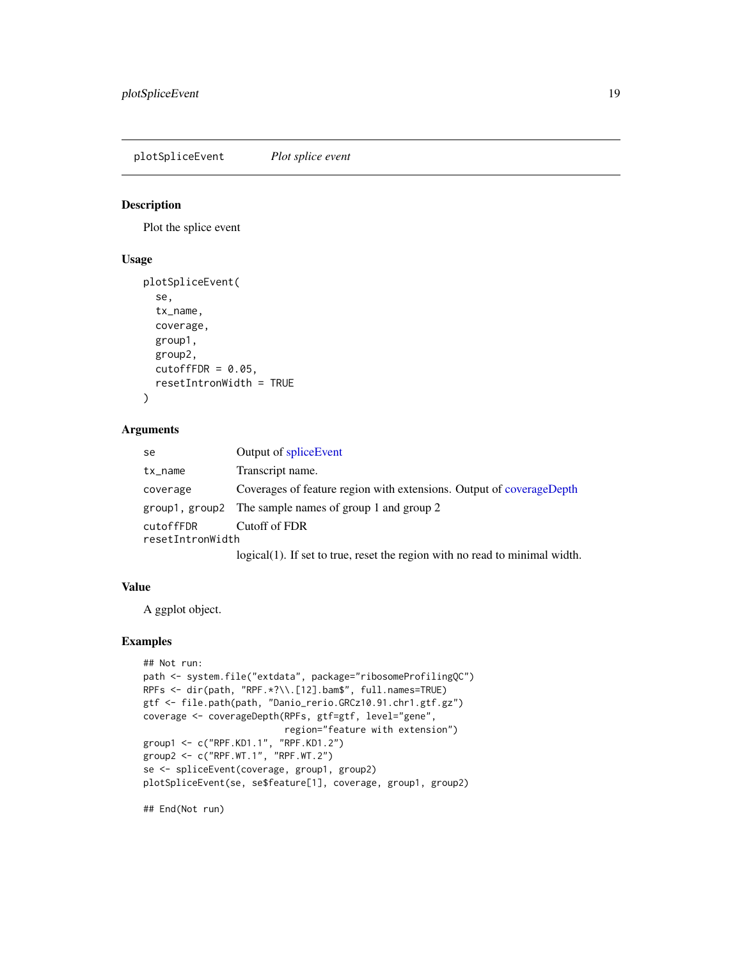<span id="page-18-0"></span>plotSpliceEvent *Plot splice event*

#### Description

Plot the splice event

#### Usage

```
plotSpliceEvent(
  se,
  tx_name,
  coverage,
  group1,
  group2,
 cutoffFDR = 0.05,
  resetIntronWidth = TRUE
)
```
#### Arguments

| se               | Output of splice Event                                                                                                |
|------------------|-----------------------------------------------------------------------------------------------------------------------|
| $tx_name$        | Transcript name.                                                                                                      |
| coverage         | Coverages of feature region with extensions. Output of coverageDepth                                                  |
|                  | $\frac{1}{2}$ group $\frac{1}{2}$ aroup $\frac{2}{2}$ The sample names of group $\frac{1}{2}$ and group $\frac{2}{2}$ |
| cutoffFDR        | Cutoff of FDR                                                                                                         |
| resetIntronWidth |                                                                                                                       |
|                  | $\log_{10} (1)$ If set to true reset the region with no read to minimal width                                         |

#### logical(1). If set to true, reset the region with no read to minimal width.

#### Value

A ggplot object.

#### Examples

```
## Not run:
path <- system.file("extdata", package="ribosomeProfilingQC")
RPFs <- dir(path, "RPF.*?\\.[12].bam$", full.names=TRUE)
gtf <- file.path(path, "Danio_rerio.GRCz10.91.chr1.gtf.gz")
coverage <- coverageDepth(RPFs, gtf=gtf, level="gene",
                         region="feature with extension")
group1 <- c("RPF.KD1.1", "RPF.KD1.2")
group2 <- c("RPF.WT.1", "RPF.WT.2")
se <- spliceEvent(coverage, group1, group2)
plotSpliceEvent(se, se$feature[1], coverage, group1, group2)
```
## End(Not run)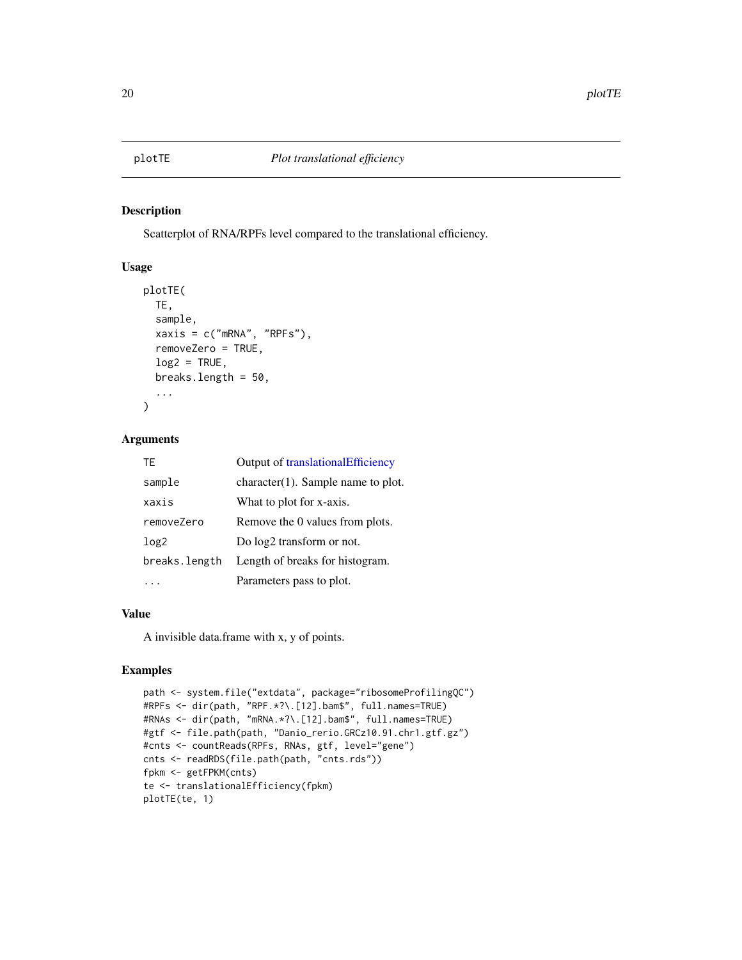<span id="page-19-0"></span>Scatterplot of RNA/RPFs level compared to the translational efficiency.

#### Usage

```
plotTE(
  TE,
  sample,
  xaxis = c("mRNA", "RPFs"),
  removeZero = TRUE,
  log2 = TRUE,breaks.length = 50,
  ...
\mathcal{L}
```
#### Arguments

| TF               | Output of translationalEfficiency     |
|------------------|---------------------------------------|
| sample           | $character(1)$ . Sample name to plot. |
| xaxis            | What to plot for x-axis.              |
| removeZero       | Remove the 0 values from plots.       |
| log <sub>2</sub> | Do $log2$ transform or not.           |
| breaks.length    | Length of breaks for histogram.       |
|                  | Parameters pass to plot.              |

#### Value

A invisible data.frame with x, y of points.

```
path <- system.file("extdata", package="ribosomeProfilingQC")
#RPFs <- dir(path, "RPF.*?\.[12].bam$", full.names=TRUE)
#RNAs <- dir(path, "mRNA.*?\.[12].bam$", full.names=TRUE)
#gtf <- file.path(path, "Danio_rerio.GRCz10.91.chr1.gtf.gz")
#cnts <- countReads(RPFs, RNAs, gtf, level="gene")
cnts <- readRDS(file.path(path, "cnts.rds"))
fpkm <- getFPKM(cnts)
te <- translationalEfficiency(fpkm)
plotTE(te, 1)
```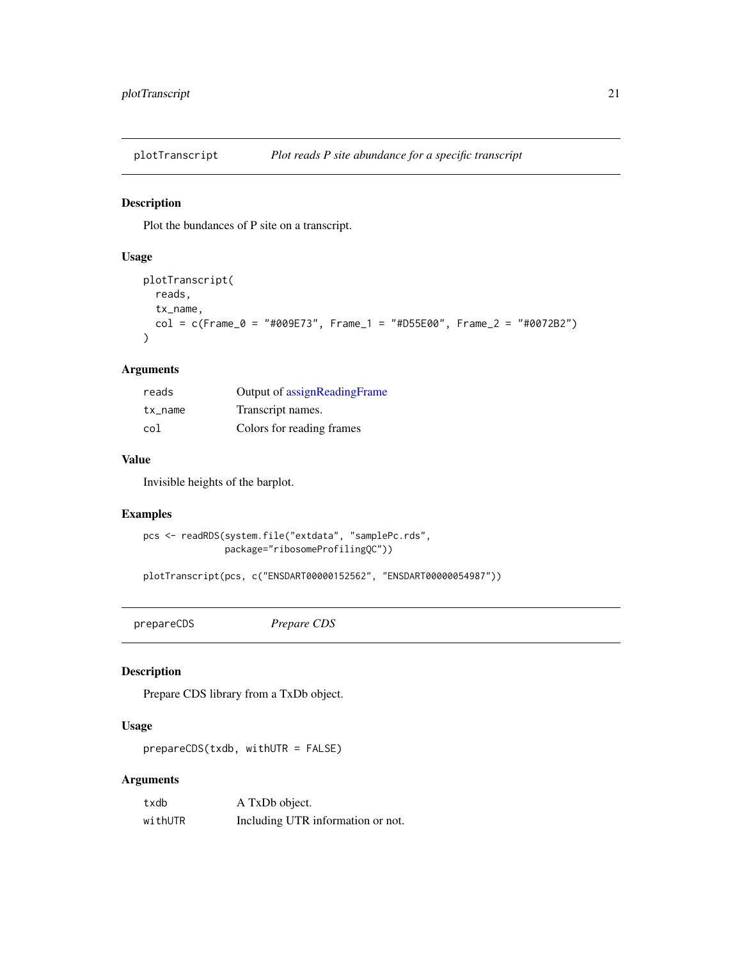<span id="page-20-0"></span>

Plot the bundances of P site on a transcript.

#### Usage

```
plotTranscript(
 reads,
 tx_name,
 col = c(Fname_0 = "#009E73", Frame_1 = "#D55E00", Frame_2 = "#0072B2"))
```
#### Arguments

| reads   | Output of assignReadingFrame |
|---------|------------------------------|
| tx name | Transcript names.            |
| col     | Colors for reading frames    |

### Value

Invisible heights of the barplot.

#### Examples

```
pcs <- readRDS(system.file("extdata", "samplePc.rds",
               package="ribosomeProfilingQC"))
```
plotTranscript(pcs, c("ENSDART00000152562", "ENSDART00000054987"))

<span id="page-20-1"></span>prepareCDS *Prepare CDS*

#### Description

Prepare CDS library from a TxDb object.

### Usage

prepareCDS(txdb, withUTR = FALSE)

#### Arguments

| txdb    | A TxDb object.                    |
|---------|-----------------------------------|
| withUTR | Including UTR information or not. |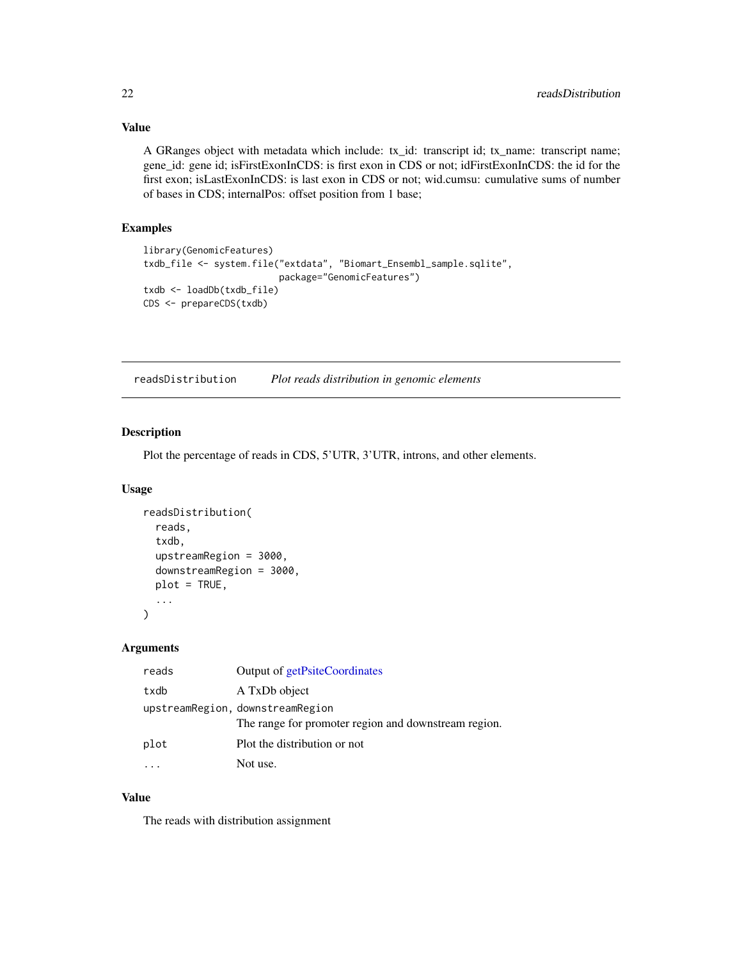#### Value

A GRanges object with metadata which include: tx\_id: transcript id; tx\_name: transcript name; gene\_id: gene id; isFirstExonInCDS: is first exon in CDS or not; idFirstExonInCDS: the id for the first exon; isLastExonInCDS: is last exon in CDS or not; wid.cumsu: cumulative sums of number of bases in CDS; internalPos: offset position from 1 base;

#### Examples

```
library(GenomicFeatures)
txdb_file <- system.file("extdata", "Biomart_Ensembl_sample.sqlite",
                         package="GenomicFeatures")
txdb <- loadDb(txdb_file)
CDS <- prepareCDS(txdb)
```
readsDistribution *Plot reads distribution in genomic elements*

#### Description

Plot the percentage of reads in CDS, 5'UTR, 3'UTR, introns, and other elements.

#### Usage

```
readsDistribution(
  reads,
  txdb,
  upstreamRegion = 3000,
  downstreamRegion = 3000,
  plot = TRUE,
  ...
\mathcal{L}
```
#### Arguments

| reads | Output of getPsiteCoordinates                        |
|-------|------------------------------------------------------|
| txdb  | A TxDb object                                        |
|       | upstreamRegion, downstreamRegion                     |
|       | The range for promoter region and downstream region. |
| plot  | Plot the distribution or not                         |
|       | Not use.                                             |

#### Value

The reads with distribution assignment

<span id="page-21-0"></span>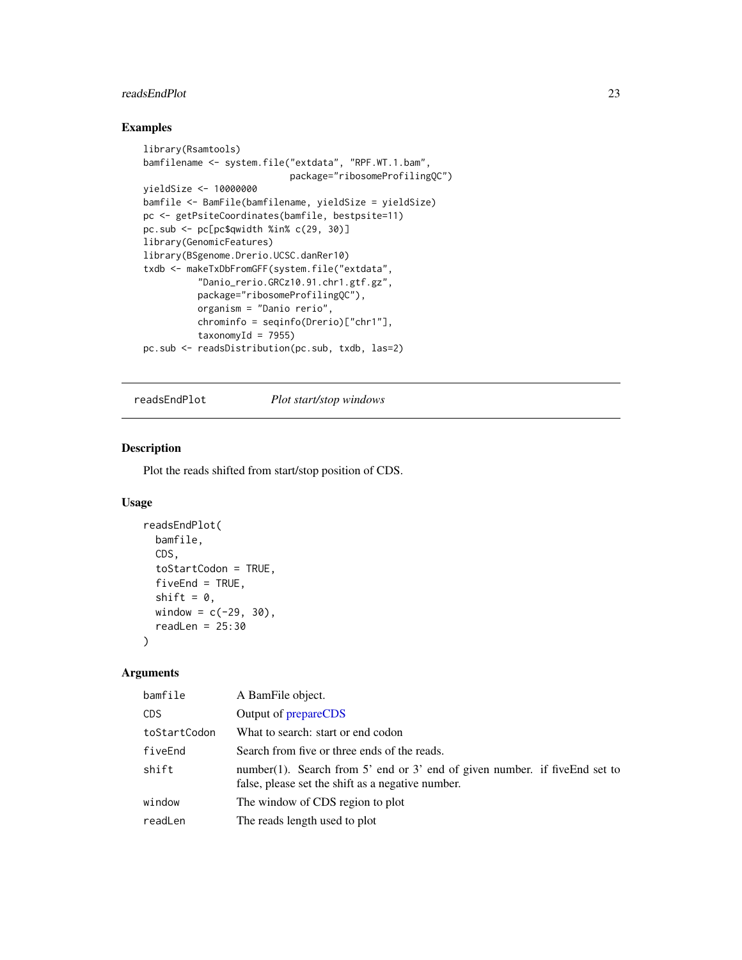#### <span id="page-22-0"></span>readsEndPlot 23

#### Examples

```
library(Rsamtools)
bamfilename <- system.file("extdata", "RPF.WT.1.bam",
                           package="ribosomeProfilingQC")
yieldSize <- 10000000
bamfile <- BamFile(bamfilename, yieldSize = yieldSize)
pc <- getPsiteCoordinates(bamfile, bestpsite=11)
pc.sub <- pc[pc$qwidth %in% c(29, 30)]
library(GenomicFeatures)
library(BSgenome.Drerio.UCSC.danRer10)
txdb <- makeTxDbFromGFF(system.file("extdata",
          "Danio_rerio.GRCz10.91.chr1.gtf.gz",
          package="ribosomeProfilingQC"),
         organism = "Danio rerio",
         chrominfo = seqinfo(Drerio)["chr1"],
          taxonomyId = 7955)pc.sub <- readsDistribution(pc.sub, txdb, las=2)
```
#### readsEndPlot *Plot start/stop windows*

#### Description

Plot the reads shifted from start/stop position of CDS.

#### Usage

```
readsEndPlot(
 bamfile,
 CDS,
  toStartCodon = TRUE,
 fiveEnd = TRUE,shift = 0,window = c(-29, 30),readLen = 25:30)
```
#### Arguments

| bamfile      | A BamFile object.                                                                                                               |
|--------------|---------------------------------------------------------------------------------------------------------------------------------|
| CDS.         | Output of prepareCDS                                                                                                            |
| toStartCodon | What to search: start or end codon                                                                                              |
| fiveEnd      | Search from five or three ends of the reads.                                                                                    |
| shift        | number(1). Search from 5' end or 3' end of given number. if fiveEnd set to<br>false, please set the shift as a negative number. |
| window       | The window of CDS region to plot                                                                                                |
| readLen      | The reads length used to plot                                                                                                   |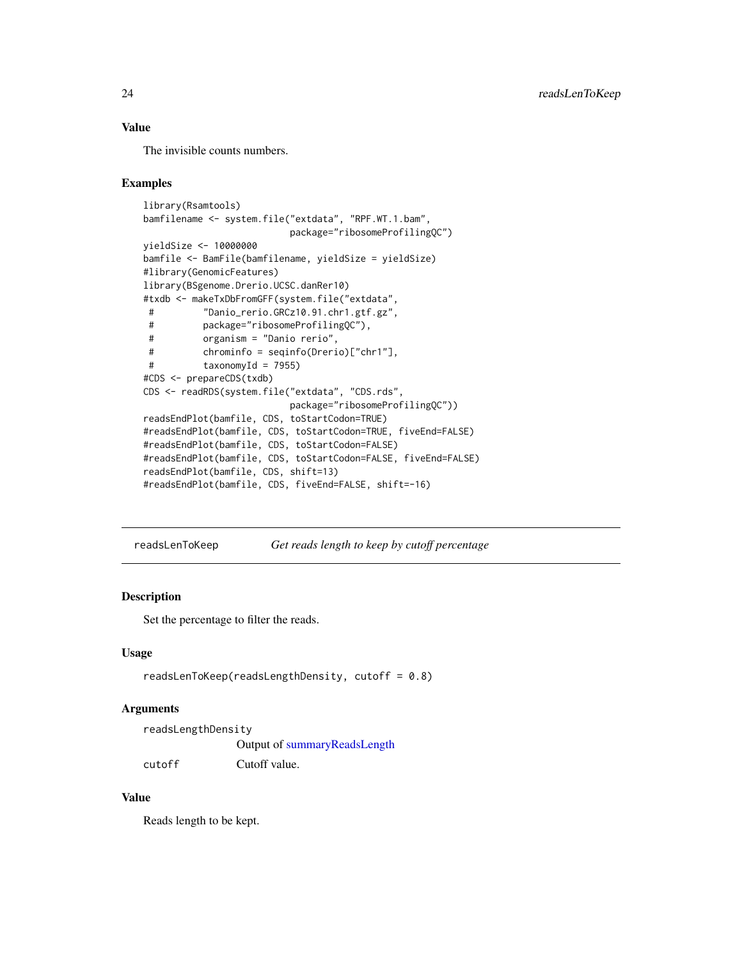#### <span id="page-23-0"></span>Value

The invisible counts numbers.

#### Examples

```
library(Rsamtools)
bamfilename <- system.file("extdata", "RPF.WT.1.bam",
                          package="ribosomeProfilingQC")
yieldSize <- 10000000
bamfile <- BamFile(bamfilename, yieldSize = yieldSize)
#library(GenomicFeatures)
library(BSgenome.Drerio.UCSC.danRer10)
#txdb <- makeTxDbFromGFF(system.file("extdata",
# "Danio_rerio.GRCz10.91.chr1.gtf.gz",
# package="ribosomeProfilingQC"),
# organism = "Danio rerio",
# chrominfo = seqinfo(Drerio)["chr1"],
# taxonomyId = 7955)
#CDS <- prepareCDS(txdb)
CDS <- readRDS(system.file("extdata", "CDS.rds",
                          package="ribosomeProfilingQC"))
readsEndPlot(bamfile, CDS, toStartCodon=TRUE)
#readsEndPlot(bamfile, CDS, toStartCodon=TRUE, fiveEnd=FALSE)
#readsEndPlot(bamfile, CDS, toStartCodon=FALSE)
#readsEndPlot(bamfile, CDS, toStartCodon=FALSE, fiveEnd=FALSE)
readsEndPlot(bamfile, CDS, shift=13)
#readsEndPlot(bamfile, CDS, fiveEnd=FALSE, shift=-16)
```
readsLenToKeep *Get reads length to keep by cutoff percentage*

#### Description

Set the percentage to filter the reads.

#### Usage

readsLenToKeep(readsLengthDensity, cutoff = 0.8)

#### Arguments

| readsLengthDensity |                              |
|--------------------|------------------------------|
|                    | Output of summaryReadsLength |
| cutoff             | Cutoff value.                |

#### Value

Reads length to be kept.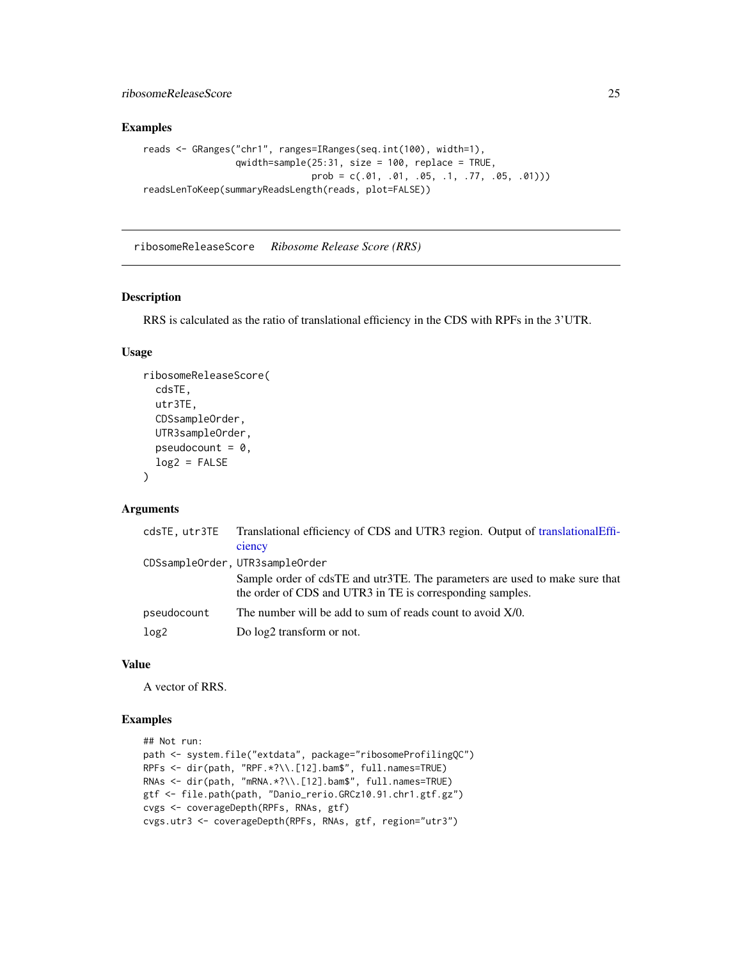<span id="page-24-0"></span>ribosomeReleaseScore 25

#### Examples

```
reads <- GRanges("chr1", ranges=IRanges(seq.int(100), width=1),
                qwidth=sample(25:31, size = 100, replace = TRUE,
                              prob = c(.01, .01, .05, .1, .77, .05, .01))readsLenToKeep(summaryReadsLength(reads, plot=FALSE))
```
ribosomeReleaseScore *Ribosome Release Score (RRS)*

#### Description

RRS is calculated as the ratio of translational efficiency in the CDS with RPFs in the 3'UTR.

#### Usage

```
ribosomeReleaseScore(
  cdsTE,
  utr3TE,
  CDSsampleOrder,
  UTR3sampleOrder,
  pseudocount = 0,
  log2 = FALSE)
```
#### Arguments

| cdsTE, utr3TE    | Translational efficiency of CDS and UTR3 region. Output of translationalEffi-                                                            |
|------------------|------------------------------------------------------------------------------------------------------------------------------------------|
|                  | ciency                                                                                                                                   |
|                  | CDSsampleOrder, UTR3sampleOrder                                                                                                          |
|                  | Sample order of cdsTE and utr3TE. The parameters are used to make sure that<br>the order of CDS and UTR3 in TE is corresponding samples. |
| pseudocount      | The number will be add to sum of reads count to avoid X/0.                                                                               |
| log <sub>2</sub> | Do $log2$ transform or not.                                                                                                              |

#### Value

A vector of RRS.

```
## Not run:
path <- system.file("extdata", package="ribosomeProfilingQC")
RPFs <- dir(path, "RPF.*?\\.[12].bam$", full.names=TRUE)
RNAs <- dir(path, "mRNA.*?\\.[12].bam$", full.names=TRUE)
gtf <- file.path(path, "Danio_rerio.GRCz10.91.chr1.gtf.gz")
cvgs <- coverageDepth(RPFs, RNAs, gtf)
cvgs.utr3 <- coverageDepth(RPFs, RNAs, gtf, region="utr3")
```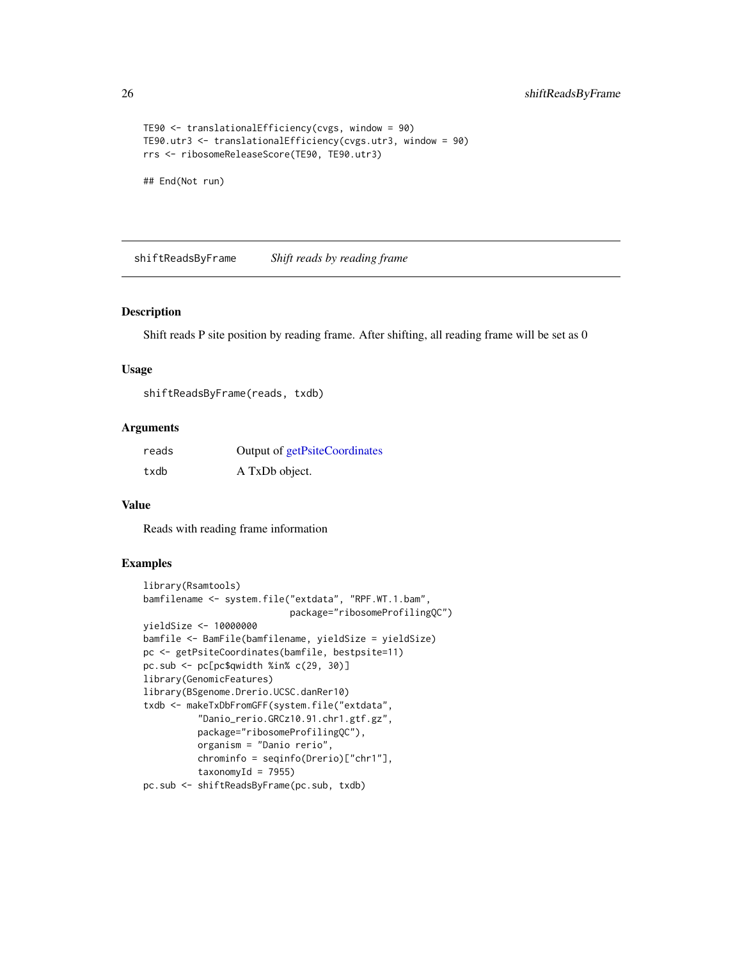```
TE90 <- translationalEfficiency(cvgs, window = 90)
TE90.utr3 <- translationalEfficiency(cvgs.utr3, window = 90)
rrs <- ribosomeReleaseScore(TE90, TE90.utr3)
```
## End(Not run)

<span id="page-25-1"></span>shiftReadsByFrame *Shift reads by reading frame*

#### Description

Shift reads P site position by reading frame. After shifting, all reading frame will be set as 0

#### Usage

```
shiftReadsByFrame(reads, txdb)
```
#### Arguments

| reads | Output of getPsiteCoordinates |
|-------|-------------------------------|
| txdb  | A TxDb object.                |

#### Value

Reads with reading frame information

```
library(Rsamtools)
bamfilename <- system.file("extdata", "RPF.WT.1.bam",
                           package="ribosomeProfilingQC")
yieldSize <- 10000000
bamfile <- BamFile(bamfilename, yieldSize = yieldSize)
pc <- getPsiteCoordinates(bamfile, bestpsite=11)
pc.sub <- pc[pc$qwidth %in% c(29, 30)]
library(GenomicFeatures)
library(BSgenome.Drerio.UCSC.danRer10)
txdb <- makeTxDbFromGFF(system.file("extdata",
          "Danio_rerio.GRCz10.91.chr1.gtf.gz",
          package="ribosomeProfilingQC"),
          organism = "Danio rerio",
          chrominfo = seqinfo(Drerio)["chr1"],
          taxonomyId = 7955)pc.sub <- shiftReadsByFrame(pc.sub, txdb)
```
<span id="page-25-0"></span>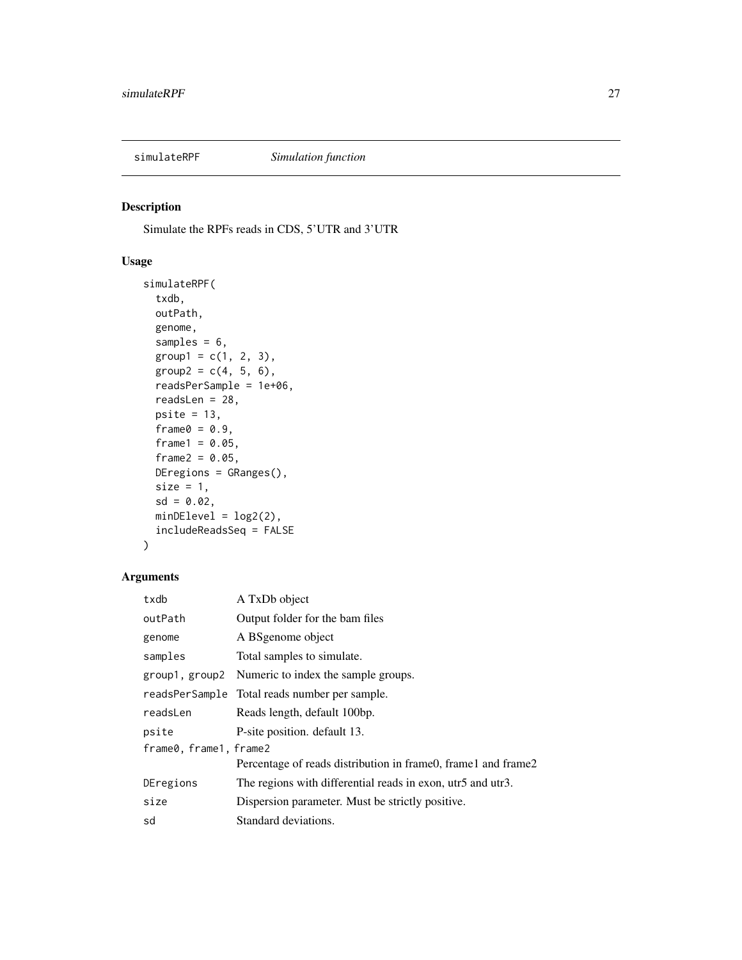<span id="page-26-0"></span>

Simulate the RPFs reads in CDS, 5'UTR and 3'UTR

#### Usage

```
simulateRPF(
  txdb,
 outPath,
 genome,
  samples = 6,
 group1 = c(1, 2, 3),group2 = c(4, 5, 6),
 readsPerSample = 1e+06,
  readsLen = 28,
 psite = 13,
  frame@ = 0.9,frame1 = 0.05,frame2 = 0.05,
 DEregions = GRanges(),
 size = 1,
 sd = 0.02,
 minDElevel = log2(2),
  includeReadsSeq = FALSE
)
```
#### Arguments

| txdb                   | A TxDb object                                                 |
|------------------------|---------------------------------------------------------------|
| outPath                | Output folder for the bam files                               |
| genome                 | A BS genome object                                            |
| samples                | Total samples to simulate.                                    |
| group1, group2         | Numeric to index the sample groups.                           |
|                        | readsPerSample Total reads number per sample.                 |
| readsLen               | Reads length, default 100bp.                                  |
| psite                  | P-site position. default 13.                                  |
| frame0, frame1, frame2 |                                                               |
|                        | Percentage of reads distribution in frame0, frame1 and frame2 |
| DEregions              | The regions with differential reads in exon, utr5 and utr3.   |
| size                   | Dispersion parameter. Must be strictly positive.              |
| sd                     | Standard deviations.                                          |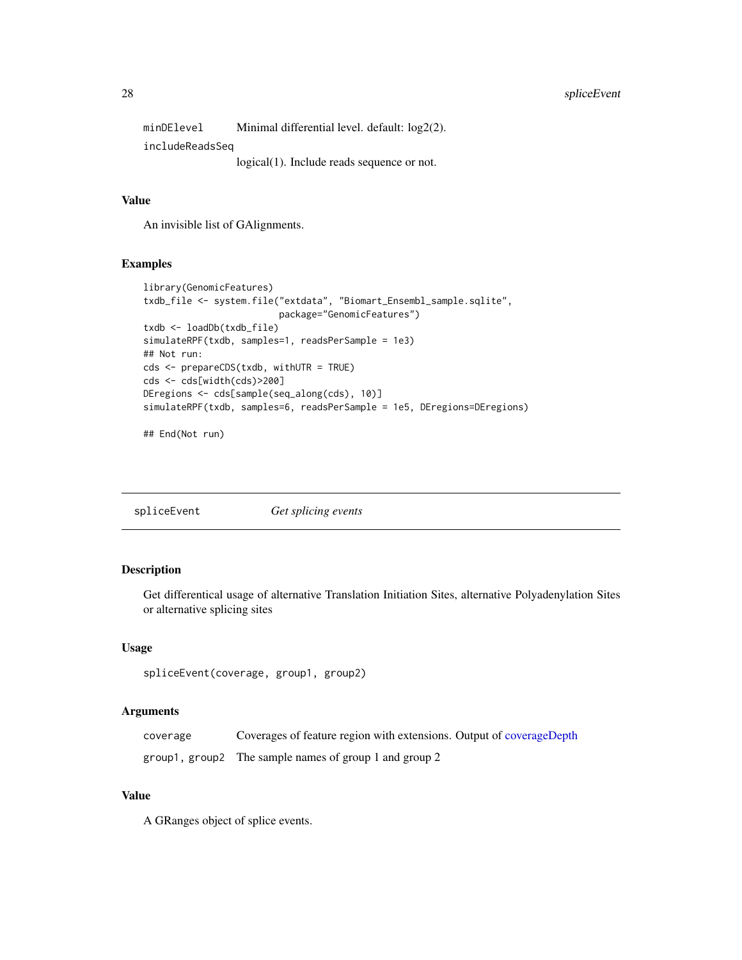#### <span id="page-27-0"></span>28 spliceEvent

minDElevel Minimal differential level. default: log2(2). includeReadsSeq logical(1). Include reads sequence or not.

#### Value

An invisible list of GAlignments.

#### Examples

```
library(GenomicFeatures)
txdb_file <- system.file("extdata", "Biomart_Ensembl_sample.sqlite",
                         package="GenomicFeatures")
txdb <- loadDb(txdb_file)
simulateRPF(txdb, samples=1, readsPerSample = 1e3)
## Not run:
cds <- prepareCDS(txdb, withUTR = TRUE)
cds <- cds[width(cds)>200]
DEregions <- cds[sample(seq_along(cds), 10)]
simulateRPF(txdb, samples=6, readsPerSample = 1e5, DEregions=DEregions)
```
## End(Not run)

<span id="page-27-1"></span>spliceEvent *Get splicing events*

#### Description

Get differentical usage of alternative Translation Initiation Sites, alternative Polyadenylation Sites or alternative splicing sites

#### Usage

```
spliceEvent(coverage, group1, group2)
```
#### Arguments

| coverage | Coverages of feature region with extensions. Output of coverageDepth |
|----------|----------------------------------------------------------------------|
|          | group1, group2 The sample names of group 1 and group 2               |

#### Value

A GRanges object of splice events.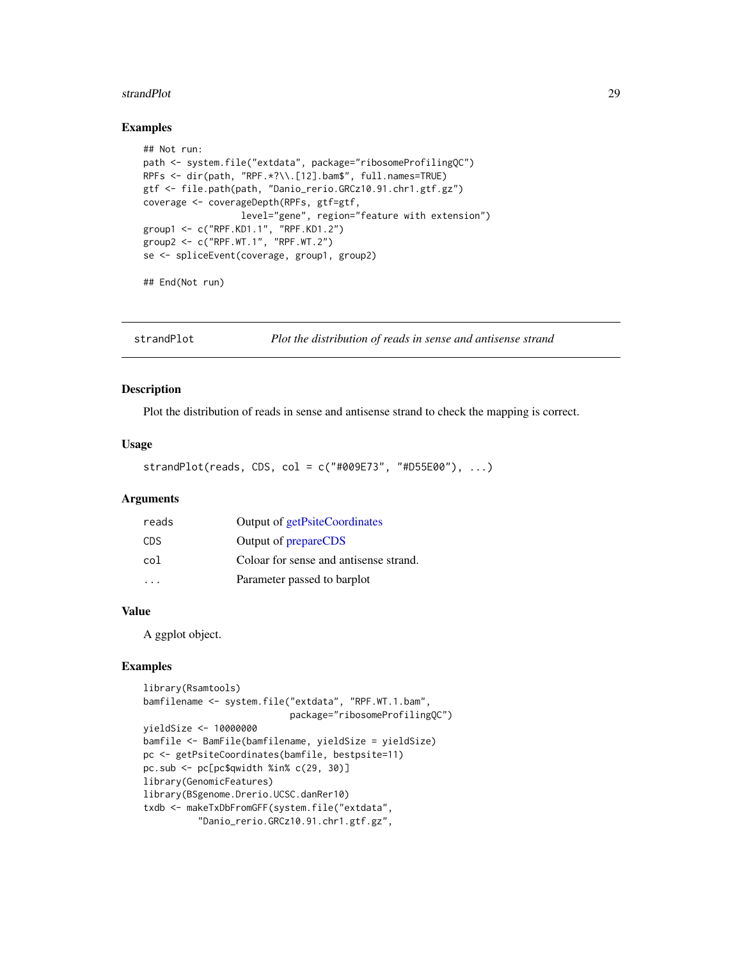#### <span id="page-28-0"></span>strandPlot 29

#### Examples

```
## Not run:
path <- system.file("extdata", package="ribosomeProfilingQC")
RPFs <- dir(path, "RPF.*?\\.[12].bam$", full.names=TRUE)
gtf <- file.path(path, "Danio_rerio.GRCz10.91.chr1.gtf.gz")
coverage <- coverageDepth(RPFs, gtf=gtf,
                  level="gene", region="feature with extension")
group1 <- c("RPF.KD1.1", "RPF.KD1.2")
group2 <- c("RPF.WT.1", "RPF.WT.2")
se <- spliceEvent(coverage, group1, group2)
```
## End(Not run)

strandPlot *Plot the distribution of reads in sense and antisense strand*

#### Description

Plot the distribution of reads in sense and antisense strand to check the mapping is correct.

#### Usage

strandPlot(reads, CDS, col = c("#009E73", "#D55E00"), ...)

#### Arguments

| reads      | Output of getPsiteCoordinates          |
|------------|----------------------------------------|
| <b>CDS</b> | Output of prepareCDS                   |
| col        | Coloar for sense and antisense strand. |
|            | Parameter passed to barplot            |

#### Value

A ggplot object.

```
library(Rsamtools)
bamfilename <- system.file("extdata", "RPF.WT.1.bam",
                           package="ribosomeProfilingQC")
yieldSize <- 10000000
bamfile <- BamFile(bamfilename, yieldSize = yieldSize)
pc <- getPsiteCoordinates(bamfile, bestpsite=11)
pc.sub <- pc[pc$qwidth %in% c(29, 30)]
library(GenomicFeatures)
library(BSgenome.Drerio.UCSC.danRer10)
txdb <- makeTxDbFromGFF(system.file("extdata",
          "Danio_rerio.GRCz10.91.chr1.gtf.gz",
```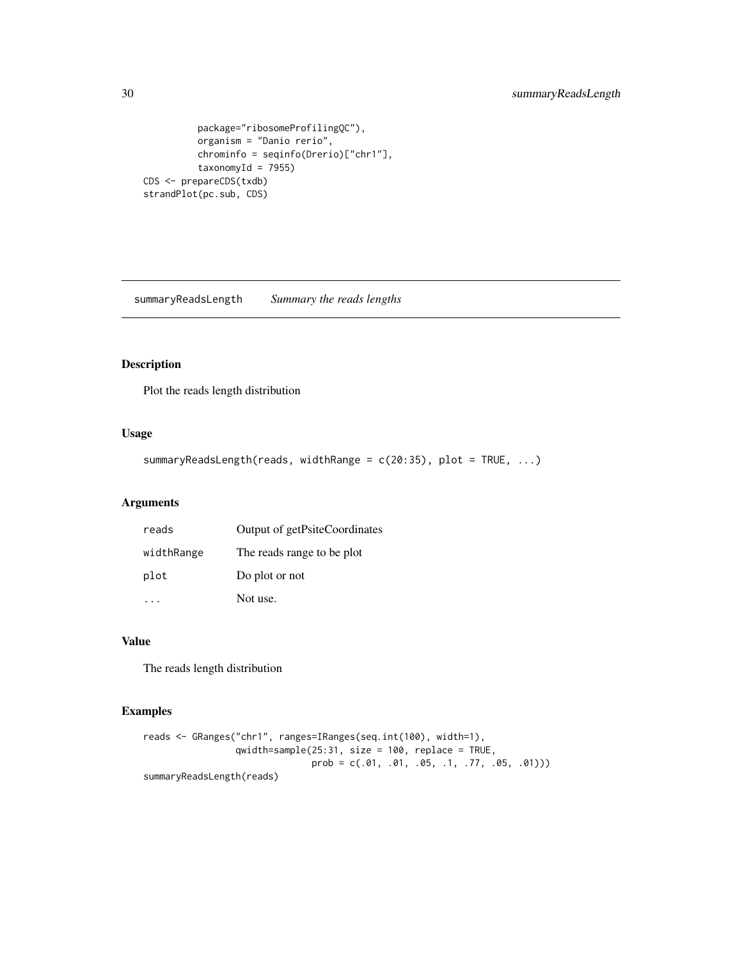```
package="ribosomeProfilingQC"),
         organism = "Danio rerio",
         chrominfo = seqinfo(Drerio)["chr1"],
         taxonomyId = 7955)CDS <- prepareCDS(txdb)
strandPlot(pc.sub, CDS)
```
<span id="page-29-1"></span>summaryReadsLength *Summary the reads lengths*

#### Description

Plot the reads length distribution

#### Usage

```
summaryReadsLength(reads, widthRange = c(20:35), plot = TRUE, ...)
```
#### Arguments

| reads      | Output of getPsiteCoordinates |
|------------|-------------------------------|
| widthRange | The reads range to be plot    |
| plot       | Do plot or not                |
|            | Not use.                      |

#### Value

The reads length distribution

```
reads <- GRanges("chr1", ranges=IRanges(seq.int(100), width=1),
                 qwidth=sample(25:31, size = 100, replace = TRUE,
                              prob = c(.01, .01, .05, .1, .77, .05, .01)))summaryReadsLength(reads)
```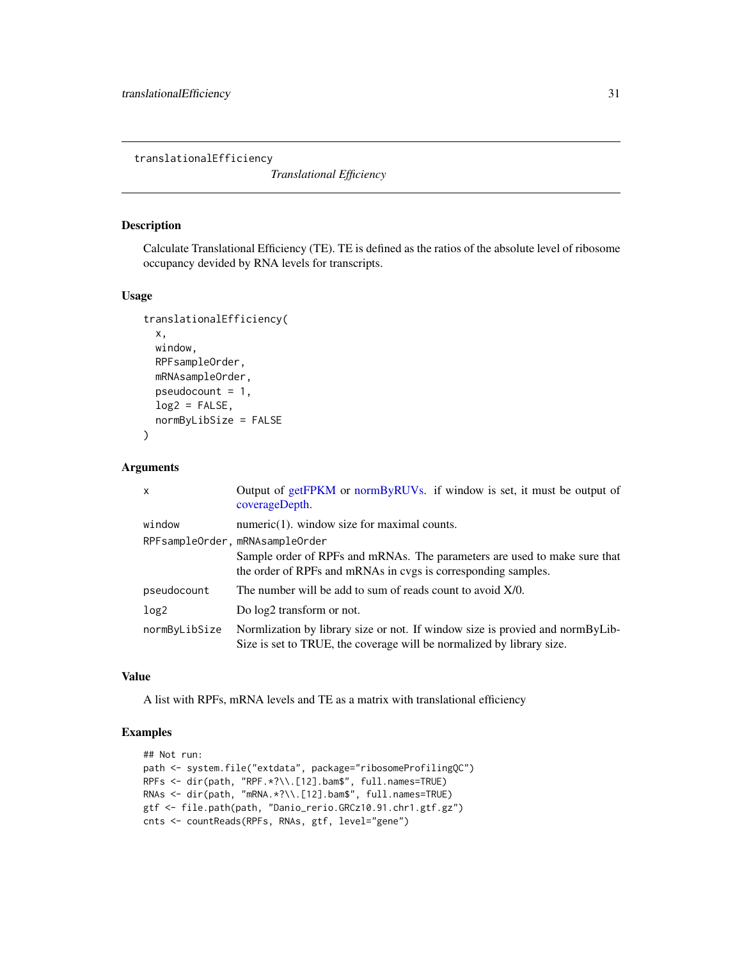<span id="page-30-1"></span><span id="page-30-0"></span>translationalEfficiency

*Translational Efficiency*

#### Description

Calculate Translational Efficiency (TE). TE is defined as the ratios of the absolute level of ribosome occupancy devided by RNA levels for transcripts.

#### Usage

```
translationalEfficiency(
  x,
 window,
 RPFsampleOrder,
 mRNAsampleOrder,
 pseudocount = 1,
  log2 = FALSE,
 normByLibSize = FALSE
)
```
#### Arguments

| $\mathsf{x}$     | Output of getFPKM or normByRUVs. if window is set, it must be output of<br>coverageDepth.                                                              |
|------------------|--------------------------------------------------------------------------------------------------------------------------------------------------------|
| window           | $numeric(1)$ , window size for maximal counts.                                                                                                         |
|                  | RPFsampleOrder, mRNAsampleOrder                                                                                                                        |
|                  | Sample order of RPFs and mRNAs. The parameters are used to make sure that<br>the order of RPFs and mRNAs in cvgs is corresponding samples.             |
| pseudocount      | The number will be add to sum of reads count to avoid $X/0$ .                                                                                          |
| log <sub>2</sub> | Do $log2$ transform or not.                                                                                                                            |
| normByLibSize    | Normlization by library size or not. If window size is provied and normByLib-<br>Size is set to TRUE, the coverage will be normalized by library size. |

#### Value

A list with RPFs, mRNA levels and TE as a matrix with translational efficiency

```
## Not run:
path <- system.file("extdata", package="ribosomeProfilingQC")
RPFs <- dir(path, "RPF.*?\\.[12].bam$", full.names=TRUE)
RNAs <- dir(path, "mRNA.*?\\.[12].bam$", full.names=TRUE)
gtf <- file.path(path, "Danio_rerio.GRCz10.91.chr1.gtf.gz")
cnts <- countReads(RPFs, RNAs, gtf, level="gene")
```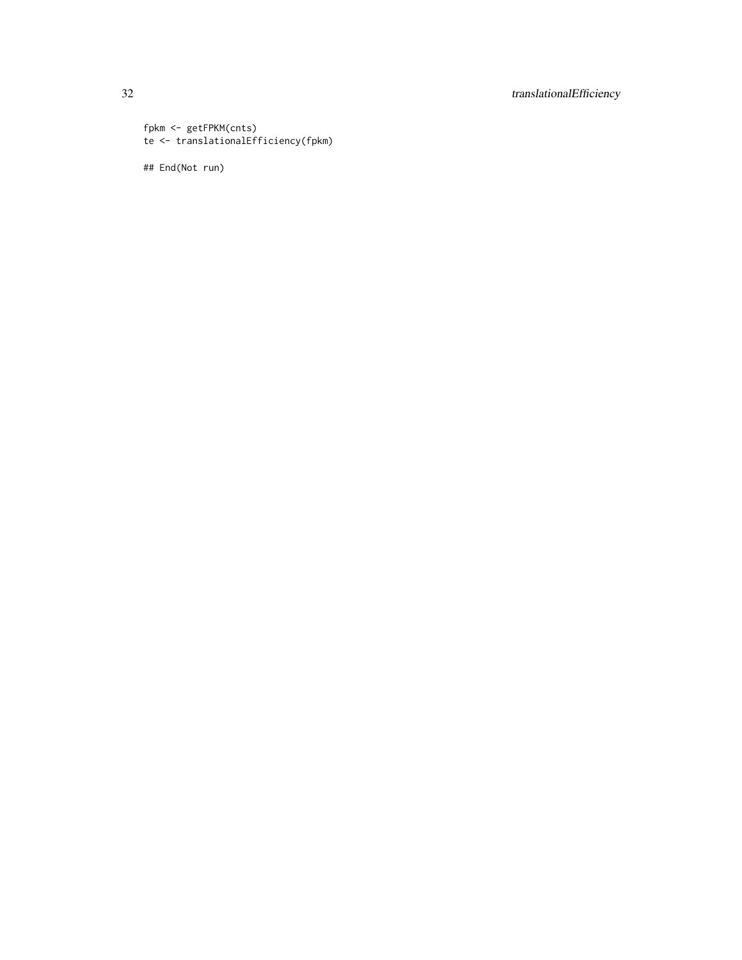### 32 translationalEfficiency

```
fpkm <- getFPKM(cnts)
te <- translationalEfficiency(fpkm)
```
## End(Not run)